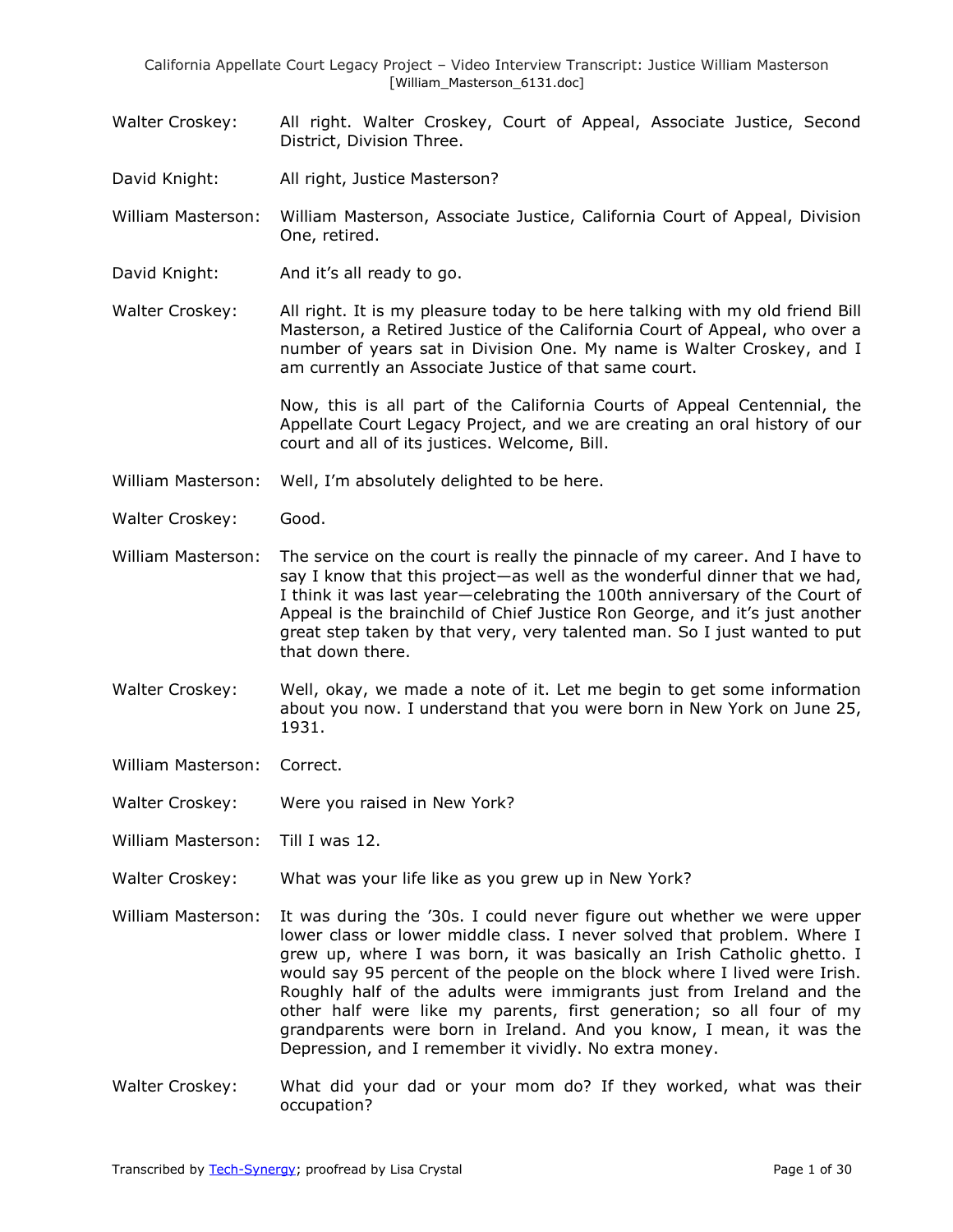- Walter Croskey: All right. Walter Croskey, Court of Appeal, Associate Justice, Second District, Division Three.
- David Knight: All right, Justice Masterson?

William Masterson: William Masterson, Associate Justice, California Court of Appeal, Division One, retired.

- David Knight: And it's all ready to go.
- Walter Croskey: All right. It is my pleasure today to be here talking with my old friend Bill Masterson, a Retired Justice of the California Court of Appeal, who over a number of years sat in Division One. My name is Walter Croskey, and I am currently an Associate Justice of that same court.

Now, this is all part of the California Courts of Appeal Centennial, the Appellate Court Legacy Project, and we are creating an oral history of our court and all of its justices. Welcome, Bill.

- William Masterson: Well, I'm absolutely delighted to be here.
- Walter Croskey: Good.
- William Masterson: The service on the court is really the pinnacle of my career. And I have to say I know that this project—as well as the wonderful dinner that we had, I think it was last year—celebrating the 100th anniversary of the Court of Appeal is the brainchild of Chief Justice Ron George, and it's just another great step taken by that very, very talented man. So I just wanted to put that down there.
- Walter Croskey: Well, okay, we made a note of it. Let me begin to get some information about you now. I understand that you were born in New York on June 25, 1931.
- William Masterson: Correct.
- Walter Croskey: Were you raised in New York?
- William Masterson: Till I was 12.
- Walter Croskey: What was your life like as you grew up in New York?
- William Masterson: It was during the '30s. I could never figure out whether we were upper lower class or lower middle class. I never solved that problem. Where I grew up, where I was born, it was basically an Irish Catholic ghetto. I would say 95 percent of the people on the block where I lived were Irish. Roughly half of the adults were immigrants just from Ireland and the other half were like my parents, first generation; so all four of my grandparents were born in Ireland. And you know, I mean, it was the Depression, and I remember it vividly. No extra money.
- Walter Croskey: What did your dad or your mom do? If they worked, what was their occupation?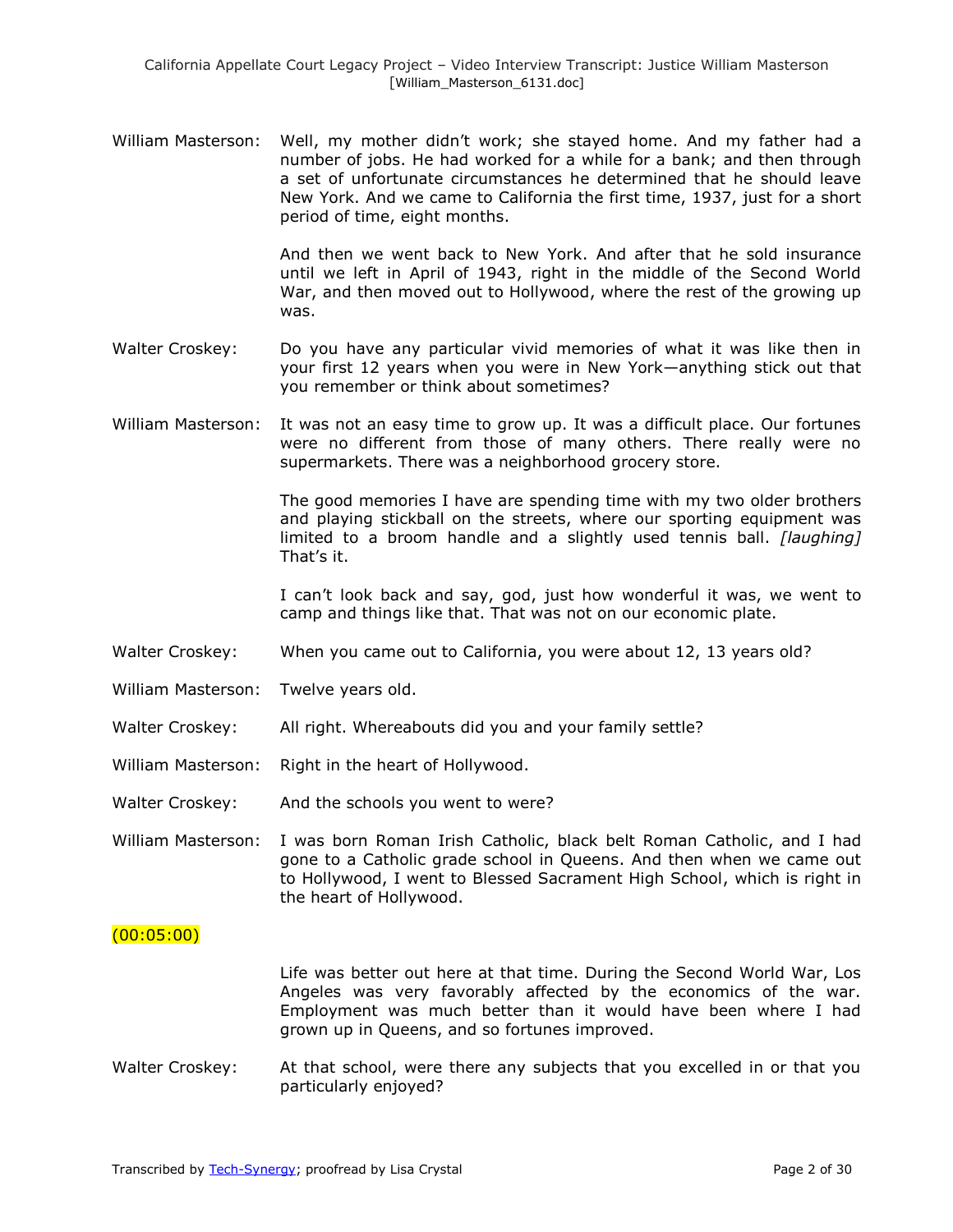William Masterson: Well, my mother didn't work; she stayed home. And my father had a number of jobs. He had worked for a while for a bank; and then through a set of unfortunate circumstances he determined that he should leave New York. And we came to California the first time, 1937, just for a short period of time, eight months.

> And then we went back to New York. And after that he sold insurance until we left in April of 1943, right in the middle of the Second World War, and then moved out to Hollywood, where the rest of the growing up was.

- Walter Croskey: Do you have any particular vivid memories of what it was like then in your first 12 years when you were in New York—anything stick out that you remember or think about sometimes?
- William Masterson: It was not an easy time to grow up. It was a difficult place. Our fortunes were no different from those of many others. There really were no supermarkets. There was a neighborhood grocery store.

The good memories I have are spending time with my two older brothers and playing stickball on the streets, where our sporting equipment was limited to a broom handle and a slightly used tennis ball. *[laughing]* That's it.

I can't look back and say, god, just how wonderful it was, we went to camp and things like that. That was not on our economic plate.

- Walter Croskey: When you came out to California, you were about 12, 13 years old?
- William Masterson: Twelve years old.
- Walter Croskey: All right. Whereabouts did you and your family settle?
- William Masterson: Right in the heart of Hollywood.
- Walter Croskey: And the schools you went to were?
- William Masterson: I was born Roman Irish Catholic, black belt Roman Catholic, and I had gone to a Catholic grade school in Queens. And then when we came out to Hollywood, I went to Blessed Sacrament High School, which is right in the heart of Hollywood.

### $(00:05:00)$

Life was better out here at that time. During the Second World War, Los Angeles was very favorably affected by the economics of the war. Employment was much better than it would have been where I had grown up in Queens, and so fortunes improved.

Walter Croskey: At that school, were there any subjects that you excelled in or that you particularly enjoyed?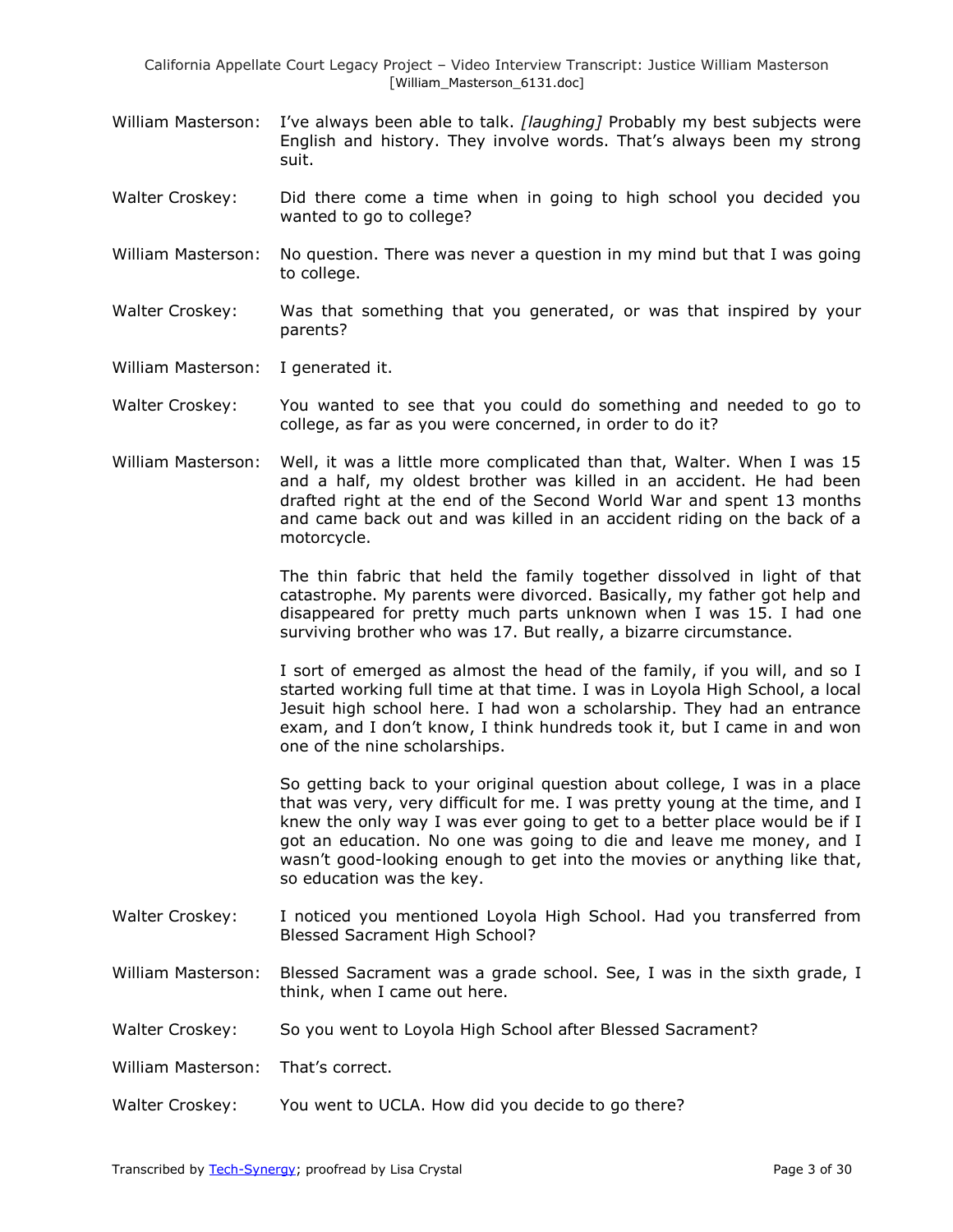- William Masterson: I've always been able to talk. *[laughing]* Probably my best subjects were English and history. They involve words. That's always been my strong suit.
- Walter Croskey: Did there come a time when in going to high school you decided you wanted to go to college?
- William Masterson: No question. There was never a question in my mind but that I was going to college.
- Walter Croskey: Was that something that you generated, or was that inspired by your parents?
- William Masterson: I generated it.
- Walter Croskey: You wanted to see that you could do something and needed to go to college, as far as you were concerned, in order to do it?
- William Masterson: Well, it was a little more complicated than that, Walter. When I was 15 and a half, my oldest brother was killed in an accident. He had been drafted right at the end of the Second World War and spent 13 months and came back out and was killed in an accident riding on the back of a motorcycle.

The thin fabric that held the family together dissolved in light of that catastrophe. My parents were divorced. Basically, my father got help and disappeared for pretty much parts unknown when I was 15. I had one surviving brother who was 17. But really, a bizarre circumstance.

I sort of emerged as almost the head of the family, if you will, and so I started working full time at that time. I was in Loyola High School, a local Jesuit high school here. I had won a scholarship. They had an entrance exam, and I don't know, I think hundreds took it, but I came in and won one of the nine scholarships.

So getting back to your original question about college, I was in a place that was very, very difficult for me. I was pretty young at the time, and I knew the only way I was ever going to get to a better place would be if I got an education. No one was going to die and leave me money, and I wasn't good-looking enough to get into the movies or anything like that, so education was the key.

- Walter Croskey: I noticed you mentioned Loyola High School. Had you transferred from Blessed Sacrament High School?
- William Masterson: Blessed Sacrament was a grade school. See, I was in the sixth grade, I think, when I came out here.
- Walter Croskey: So you went to Loyola High School after Blessed Sacrament?

William Masterson: That's correct.

Walter Croskey: You went to UCLA. How did you decide to go there?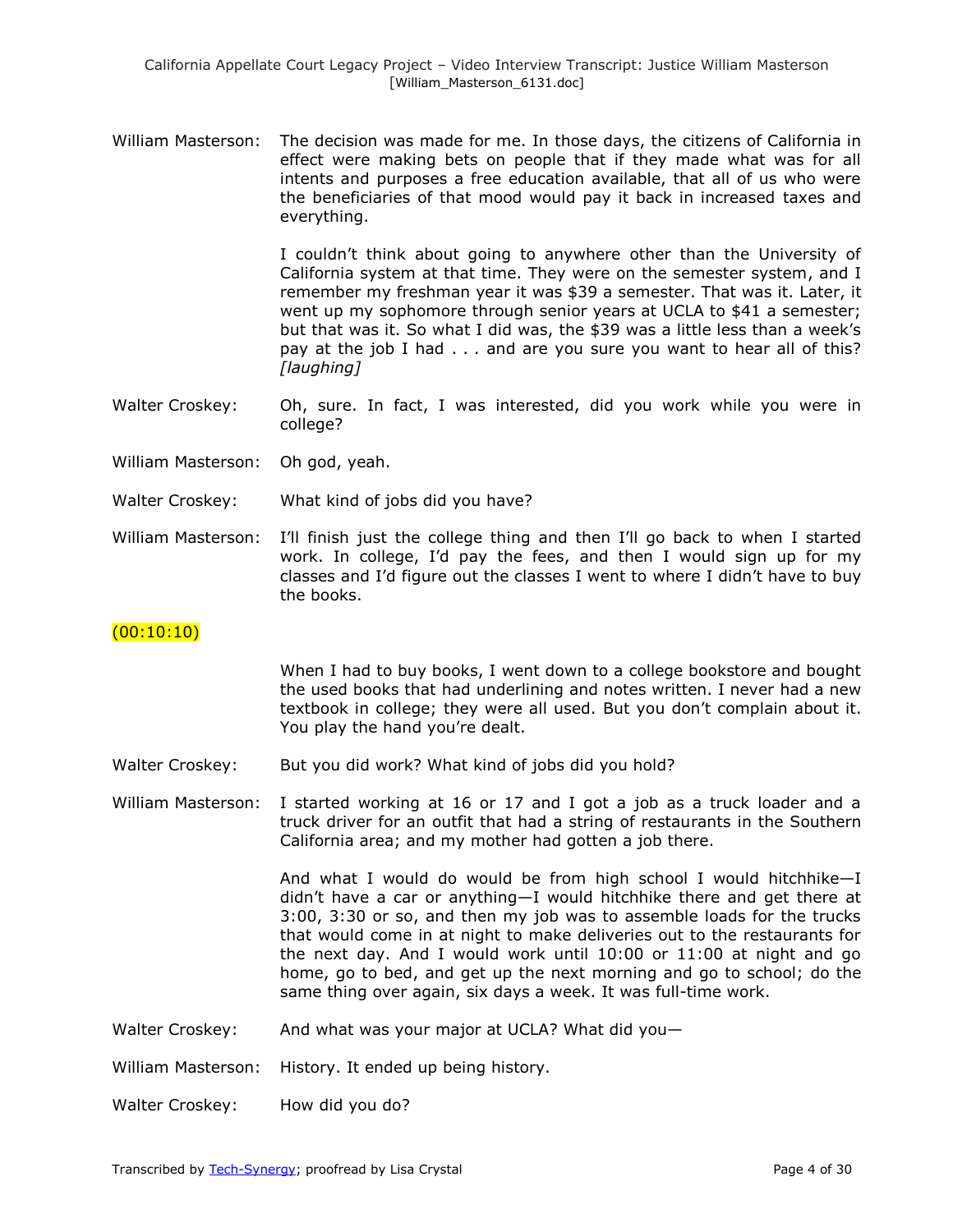William Masterson: The decision was made for me. In those days, the citizens of California in effect were making bets on people that if they made what was for all intents and purposes a free education available, that all of us who were the beneficiaries of that mood would pay it back in increased taxes and everything.

> I couldn't think about going to anywhere other than the University of California system at that time. They were on the semester system, and I remember my freshman year it was \$39 a semester. That was it. Later, it went up my sophomore through senior years at UCLA to \$41 a semester; but that was it. So what I did was, the \$39 was a little less than a week's pay at the job I had . . . and are you sure you want to hear all of this? *[laughing]*

- Walter Croskey: Oh, sure. In fact, I was interested, did you work while you were in college?
- William Masterson: Oh god, yeah.
- Walter Croskey: What kind of jobs did you have?
- William Masterson: I'll finish just the college thing and then I'll go back to when I started work. In college, I'd pay the fees, and then I would sign up for my classes and I'd figure out the classes I went to where I didn't have to buy the books.

# $(00:10:10)$

When I had to buy books, I went down to a college bookstore and bought the used books that had underlining and notes written. I never had a new textbook in college; they were all used. But you don't complain about it. You play the hand you're dealt.

- Walter Croskey: But you did work? What kind of jobs did you hold?
- William Masterson: I started working at 16 or 17 and I got a job as a truck loader and a truck driver for an outfit that had a string of restaurants in the Southern California area; and my mother had gotten a job there.

And what I would do would be from high school I would hitchhike—I didn't have a car or anything—I would hitchhike there and get there at 3:00, 3:30 or so, and then my job was to assemble loads for the trucks that would come in at night to make deliveries out to the restaurants for the next day. And I would work until 10:00 or 11:00 at night and go home, go to bed, and get up the next morning and go to school; do the same thing over again, six days a week. It was full-time work.

Walter Croskey: And what was your major at UCLA? What did you-

William Masterson: History. It ended up being history.

Walter Croskey: How did you do?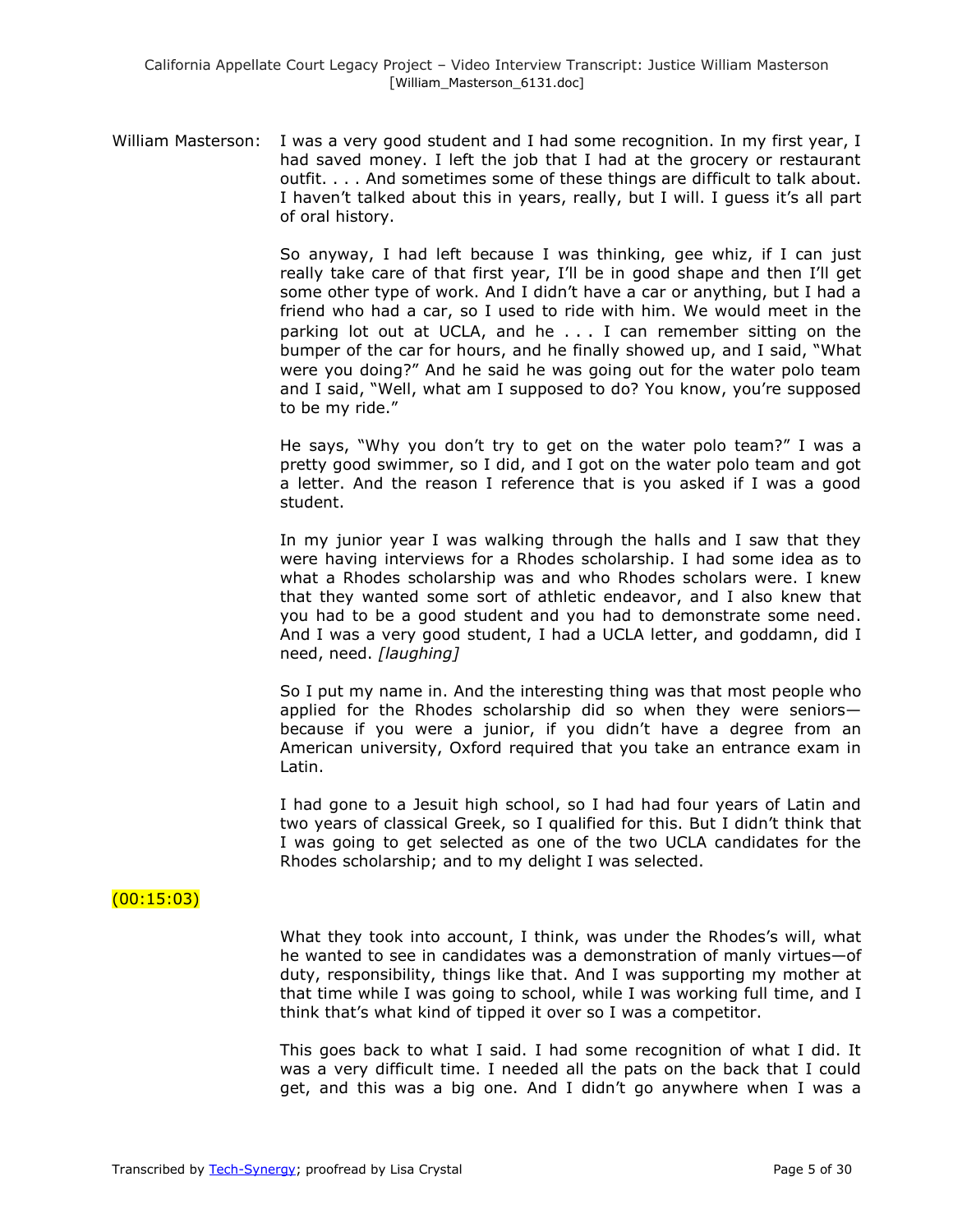William Masterson: I was a very good student and I had some recognition. In my first year, I had saved money. I left the job that I had at the grocery or restaurant outfit. . . . And sometimes some of these things are difficult to talk about. I haven't talked about this in years, really, but I will. I guess it's all part of oral history.

> So anyway, I had left because I was thinking, gee whiz, if I can just really take care of that first year, I'll be in good shape and then I'll get some other type of work. And I didn't have a car or anything, but I had a friend who had a car, so I used to ride with him. We would meet in the parking lot out at UCLA, and he . . . I can remember sitting on the bumper of the car for hours, and he finally showed up, and I said, "What were you doing?" And he said he was going out for the water polo team and I said, "Well, what am I supposed to do? You know, you're supposed to be my ride."

> He says, "Why you don't try to get on the water polo team?" I was a pretty good swimmer, so I did, and I got on the water polo team and got a letter. And the reason I reference that is you asked if I was a good student.

> In my junior year I was walking through the halls and I saw that they were having interviews for a Rhodes scholarship. I had some idea as to what a Rhodes scholarship was and who Rhodes scholars were. I knew that they wanted some sort of athletic endeavor, and I also knew that you had to be a good student and you had to demonstrate some need. And I was a very good student, I had a UCLA letter, and goddamn, did I need, need. *[laughing]*

> So I put my name in. And the interesting thing was that most people who applied for the Rhodes scholarship did so when they were seniors because if you were a junior, if you didn't have a degree from an American university, Oxford required that you take an entrance exam in Latin.

> I had gone to a Jesuit high school, so I had had four years of Latin and two years of classical Greek, so I qualified for this. But I didn't think that I was going to get selected as one of the two UCLA candidates for the Rhodes scholarship; and to my delight I was selected.

### (00:15:03)

What they took into account, I think, was under the Rhodes's will, what he wanted to see in candidates was a demonstration of manly virtues—of duty, responsibility, things like that. And I was supporting my mother at that time while I was going to school, while I was working full time, and I think that's what kind of tipped it over so I was a competitor.

This goes back to what I said. I had some recognition of what I did. It was a very difficult time. I needed all the pats on the back that I could get, and this was a big one. And I didn't go anywhere when I was a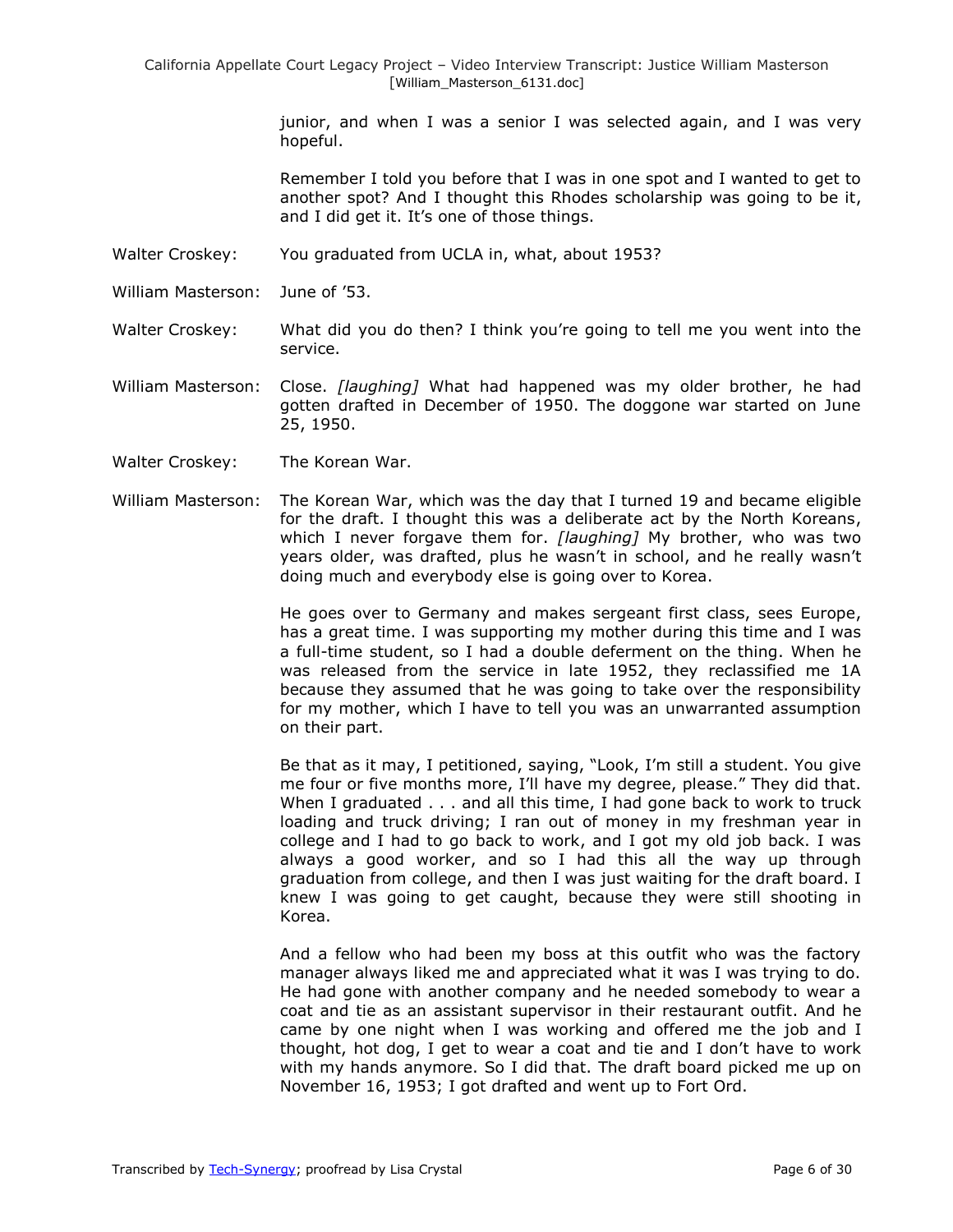> junior, and when I was a senior I was selected again, and I was very hopeful.

> Remember I told you before that I was in one spot and I wanted to get to another spot? And I thought this Rhodes scholarship was going to be it, and I did get it. It's one of those things.

- Walter Croskey: You graduated from UCLA in, what, about 1953?
- William Masterson: June of '53.

Walter Croskey: What did you do then? I think you're going to tell me you went into the service.

- William Masterson: Close. *[laughing]* What had happened was my older brother, he had gotten drafted in December of 1950. The doggone war started on June 25, 1950.
- Walter Croskey: The Korean War.
- William Masterson: The Korean War, which was the day that I turned 19 and became eligible for the draft. I thought this was a deliberate act by the North Koreans, which I never forgave them for. *[laughing]* My brother, who was two years older, was drafted, plus he wasn't in school, and he really wasn't doing much and everybody else is going over to Korea.

He goes over to Germany and makes sergeant first class, sees Europe, has a great time. I was supporting my mother during this time and I was a full-time student, so I had a double deferment on the thing. When he was released from the service in late 1952, they reclassified me 1A because they assumed that he was going to take over the responsibility for my mother, which I have to tell you was an unwarranted assumption on their part.

Be that as it may, I petitioned, saying, "Look, I'm still a student. You give me four or five months more, I'll have my degree, please." They did that. When I graduated . . . and all this time, I had gone back to work to truck loading and truck driving; I ran out of money in my freshman year in college and I had to go back to work, and I got my old job back. I was always a good worker, and so I had this all the way up through graduation from college, and then I was just waiting for the draft board. I knew I was going to get caught, because they were still shooting in Korea.

And a fellow who had been my boss at this outfit who was the factory manager always liked me and appreciated what it was I was trying to do. He had gone with another company and he needed somebody to wear a coat and tie as an assistant supervisor in their restaurant outfit. And he came by one night when I was working and offered me the job and I thought, hot dog, I get to wear a coat and tie and I don't have to work with my hands anymore. So I did that. The draft board picked me up on November 16, 1953; I got drafted and went up to Fort Ord.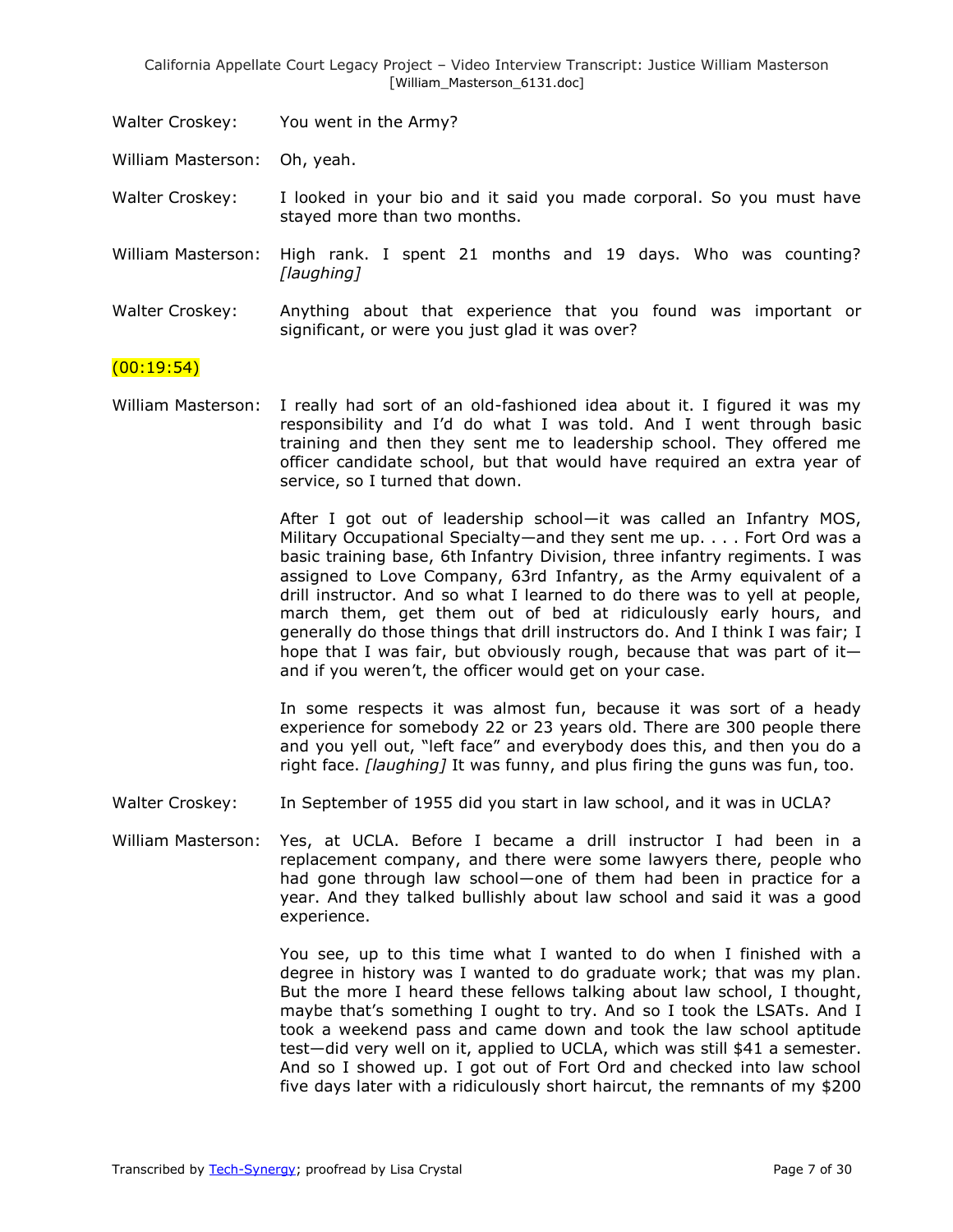Walter Croskey: You went in the Army?

William Masterson: Oh, yeah.

Walter Croskey: I looked in your bio and it said you made corporal. So you must have stayed more than two months.

William Masterson: High rank. I spent 21 months and 19 days. Who was counting? *[laughing]*

Walter Croskey: Anything about that experience that you found was important or significant, or were you just glad it was over?

# $(00:19:54)$

William Masterson: I really had sort of an old-fashioned idea about it. I figured it was my responsibility and I'd do what I was told. And I went through basic training and then they sent me to leadership school. They offered me officer candidate school, but that would have required an extra year of service, so I turned that down.

> After I got out of leadership school—it was called an Infantry MOS, Military Occupational Specialty—and they sent me up. . . . Fort Ord was a basic training base, 6th Infantry Division, three infantry regiments. I was assigned to Love Company, 63rd Infantry, as the Army equivalent of a drill instructor. And so what I learned to do there was to yell at people, march them, get them out of bed at ridiculously early hours, and generally do those things that drill instructors do. And I think I was fair; I hope that I was fair, but obviously rough, because that was part of it and if you weren't, the officer would get on your case.

> In some respects it was almost fun, because it was sort of a heady experience for somebody 22 or 23 years old. There are 300 people there and you yell out, "left face" and everybody does this, and then you do a right face. *[laughing]* It was funny, and plus firing the guns was fun, too.

Walter Croskey: In September of 1955 did you start in law school, and it was in UCLA?

William Masterson: Yes, at UCLA. Before I became a drill instructor I had been in a replacement company, and there were some lawyers there, people who had gone through law school—one of them had been in practice for a year. And they talked bullishly about law school and said it was a good experience.

> You see, up to this time what I wanted to do when I finished with a degree in history was I wanted to do graduate work; that was my plan. But the more I heard these fellows talking about law school, I thought, maybe that's something I ought to try. And so I took the LSATs. And I took a weekend pass and came down and took the law school aptitude test—did very well on it, applied to UCLA, which was still \$41 a semester. And so I showed up. I got out of Fort Ord and checked into law school five days later with a ridiculously short haircut, the remnants of my \$200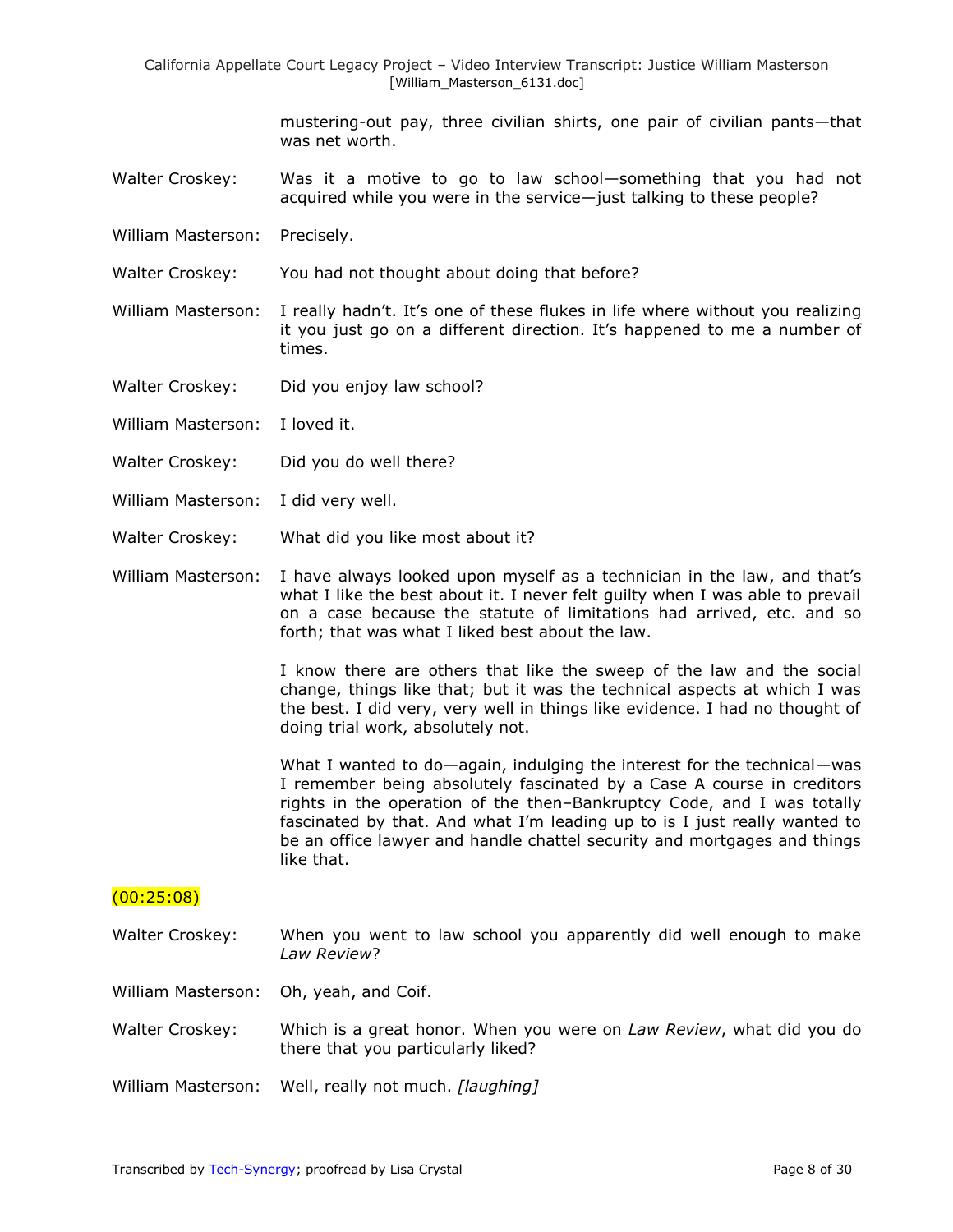mustering-out pay, three civilian shirts, one pair of civilian pants—that was net worth.

- Walter Croskey: Was it a motive to go to law school-something that you had not acquired while you were in the service—just talking to these people?
- William Masterson: Precisely.
- Walter Croskey: You had not thought about doing that before?
- William Masterson: I really hadn't. It's one of these flukes in life where without you realizing it you just go on a different direction. It's happened to me a number of times.
- Walter Croskey: Did you enjoy law school?
- William Masterson: I loved it.
- Walter Croskey: Did you do well there?
- William Masterson: I did very well.
- Walter Croskey: What did you like most about it?
- William Masterson: I have always looked upon myself as a technician in the law, and that's what I like the best about it. I never felt guilty when I was able to prevail on a case because the statute of limitations had arrived, etc. and so forth; that was what I liked best about the law.

I know there are others that like the sweep of the law and the social change, things like that; but it was the technical aspects at which I was the best. I did very, very well in things like evidence. I had no thought of doing trial work, absolutely not.

What I wanted to do—again, indulging the interest for the technical—was I remember being absolutely fascinated by a Case A course in creditors rights in the operation of the then–Bankruptcy Code, and I was totally fascinated by that. And what I'm leading up to is I just really wanted to be an office lawyer and handle chattel security and mortgages and things like that.

#### (00:25:08)

- Walter Croskey: When you went to law school you apparently did well enough to make *Law Review*?
- William Masterson: Oh, yeah, and Coif.
- Walter Croskey: Which is a great honor. When you were on *Law Review*, what did you do there that you particularly liked?
- William Masterson: Well, really not much. *[laughing]*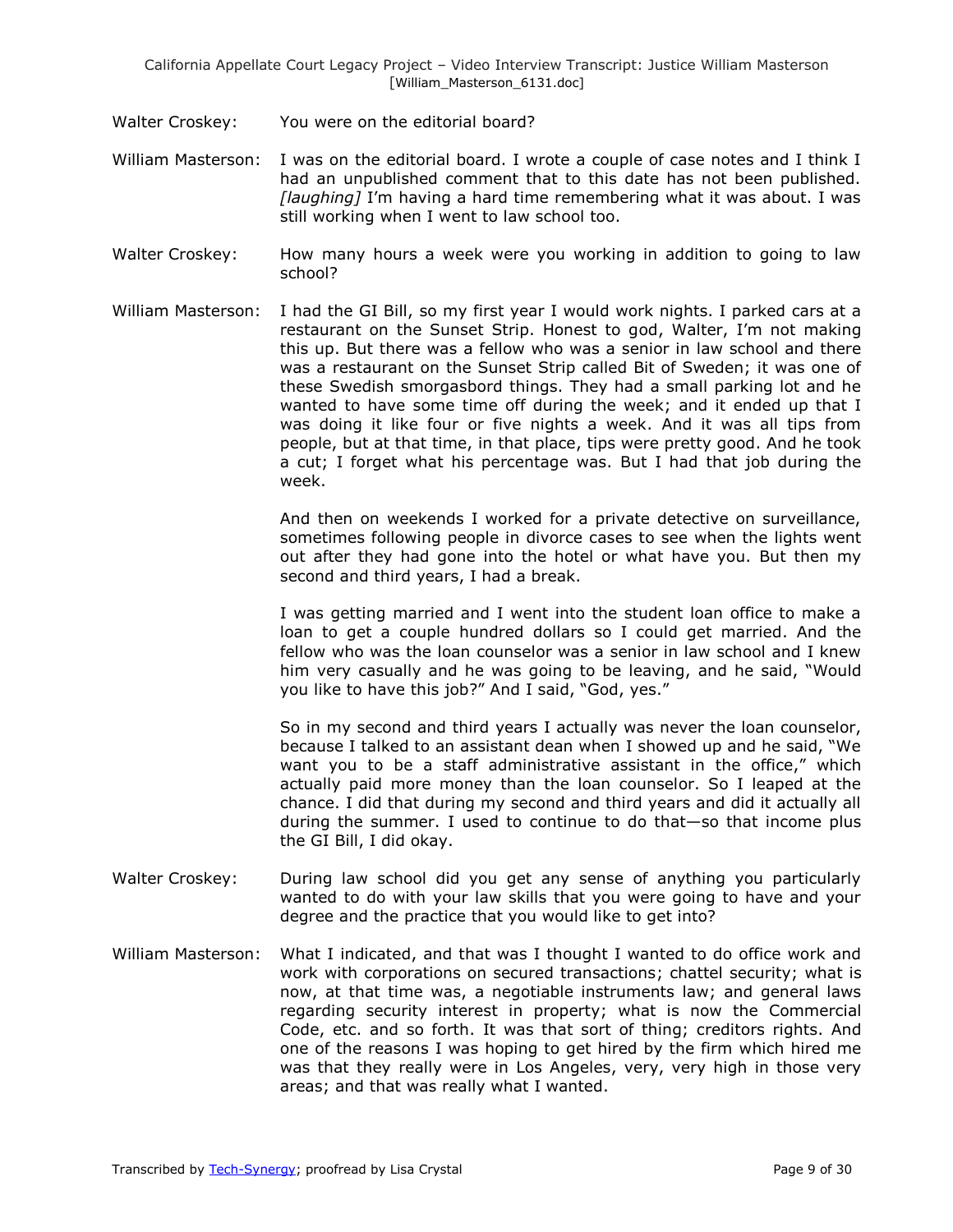- Walter Croskey: You were on the editorial board?
- William Masterson: I was on the editorial board. I wrote a couple of case notes and I think I had an unpublished comment that to this date has not been published. *[laughing]* I'm having a hard time remembering what it was about. I was still working when I went to law school too.
- Walter Croskey: How many hours a week were you working in addition to going to law school?
- William Masterson: I had the GI Bill, so my first year I would work nights. I parked cars at a restaurant on the Sunset Strip. Honest to god, Walter, I'm not making this up. But there was a fellow who was a senior in law school and there was a restaurant on the Sunset Strip called Bit of Sweden; it was one of these Swedish smorgasbord things. They had a small parking lot and he wanted to have some time off during the week; and it ended up that I was doing it like four or five nights a week. And it was all tips from people, but at that time, in that place, tips were pretty good. And he took a cut; I forget what his percentage was. But I had that job during the week.

And then on weekends I worked for a private detective on surveillance, sometimes following people in divorce cases to see when the lights went out after they had gone into the hotel or what have you. But then my second and third years, I had a break.

I was getting married and I went into the student loan office to make a loan to get a couple hundred dollars so I could get married. And the fellow who was the loan counselor was a senior in law school and I knew him very casually and he was going to be leaving, and he said, "Would you like to have this job?" And I said, "God, yes."

So in my second and third years I actually was never the loan counselor, because I talked to an assistant dean when I showed up and he said, "We want you to be a staff administrative assistant in the office," which actually paid more money than the loan counselor. So I leaped at the chance. I did that during my second and third years and did it actually all during the summer. I used to continue to do that—so that income plus the GI Bill, I did okay.

- Walter Croskey: During law school did you get any sense of anything you particularly wanted to do with your law skills that you were going to have and your degree and the practice that you would like to get into?
- William Masterson: What I indicated, and that was I thought I wanted to do office work and work with corporations on secured transactions; chattel security; what is now, at that time was, a negotiable instruments law; and general laws regarding security interest in property; what is now the Commercial Code, etc. and so forth. It was that sort of thing; creditors rights. And one of the reasons I was hoping to get hired by the firm which hired me was that they really were in Los Angeles, very, very high in those very areas; and that was really what I wanted.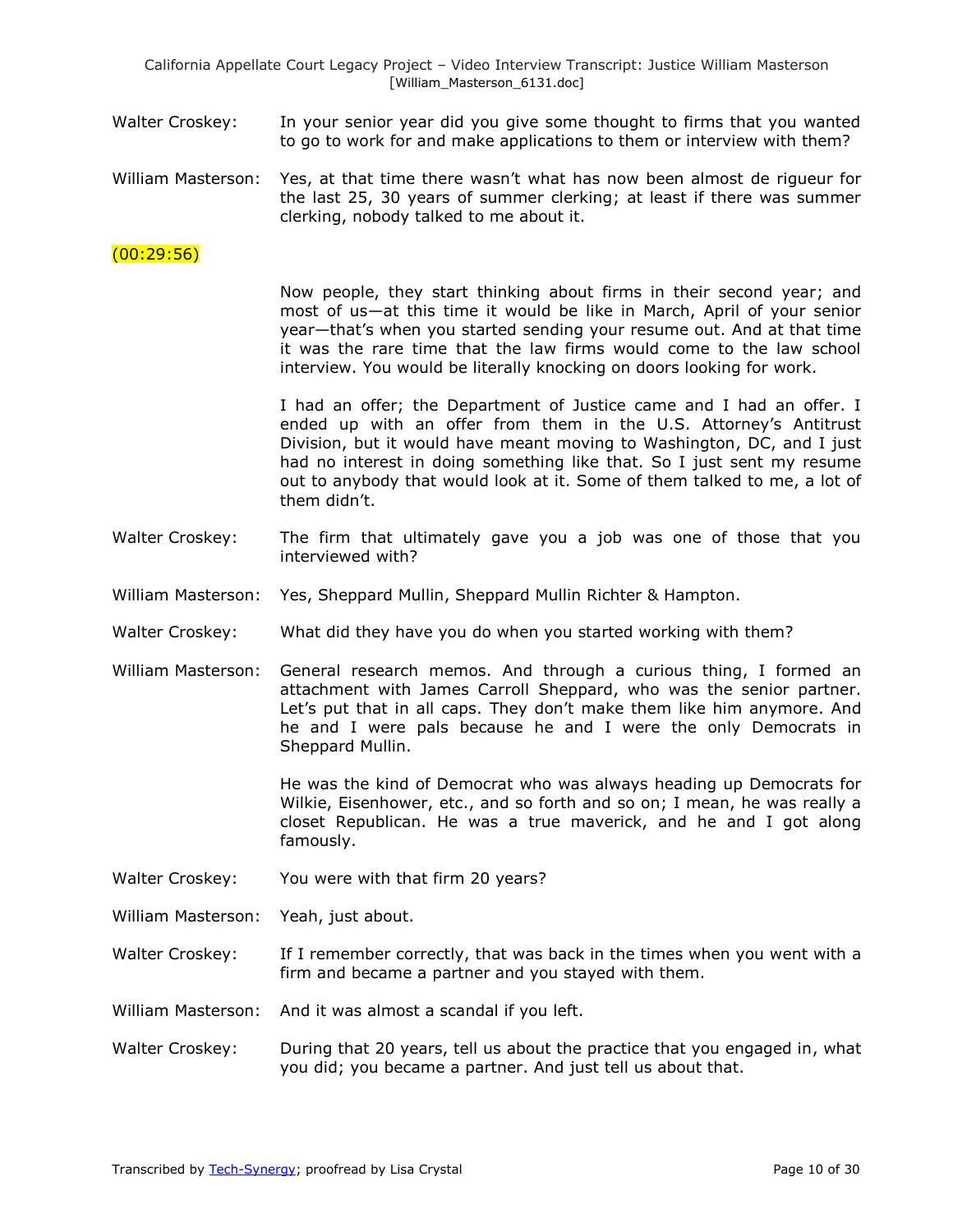- Walter Croskey: In your senior year did you give some thought to firms that you wanted to go to work for and make applications to them or interview with them?
- William Masterson: Yes, at that time there wasn't what has now been almost de rigueur for the last 25, 30 years of summer clerking; at least if there was summer clerking, nobody talked to me about it.

### (00:29:56)

Now people, they start thinking about firms in their second year; and most of us—at this time it would be like in March, April of your senior year—that's when you started sending your resume out. And at that time it was the rare time that the law firms would come to the law school interview. You would be literally knocking on doors looking for work.

I had an offer; the Department of Justice came and I had an offer. I ended up with an offer from them in the U.S. Attorney's Antitrust Division, but it would have meant moving to Washington, DC, and I just had no interest in doing something like that. So I just sent my resume out to anybody that would look at it. Some of them talked to me, a lot of them didn't.

- Walter Croskey: The firm that ultimately gave you a job was one of those that you interviewed with?
- William Masterson: Yes, Sheppard Mullin, Sheppard Mullin Richter & Hampton.
- Walter Croskey: What did they have you do when you started working with them?
- William Masterson: General research memos. And through a curious thing, I formed an attachment with James Carroll Sheppard, who was the senior partner. Let's put that in all caps. They don't make them like him anymore. And he and I were pals because he and I were the only Democrats in Sheppard Mullin.

He was the kind of Democrat who was always heading up Democrats for Wilkie, Eisenhower, etc., and so forth and so on; I mean, he was really a closet Republican. He was a true maverick, and he and I got along famously.

Walter Croskey: You were with that firm 20 years?

William Masterson: Yeah, just about.

- Walter Croskey: If I remember correctly, that was back in the times when you went with a firm and became a partner and you stayed with them.
- William Masterson: And it was almost a scandal if you left.
- Walter Croskey: During that 20 years, tell us about the practice that you engaged in, what you did; you became a partner. And just tell us about that.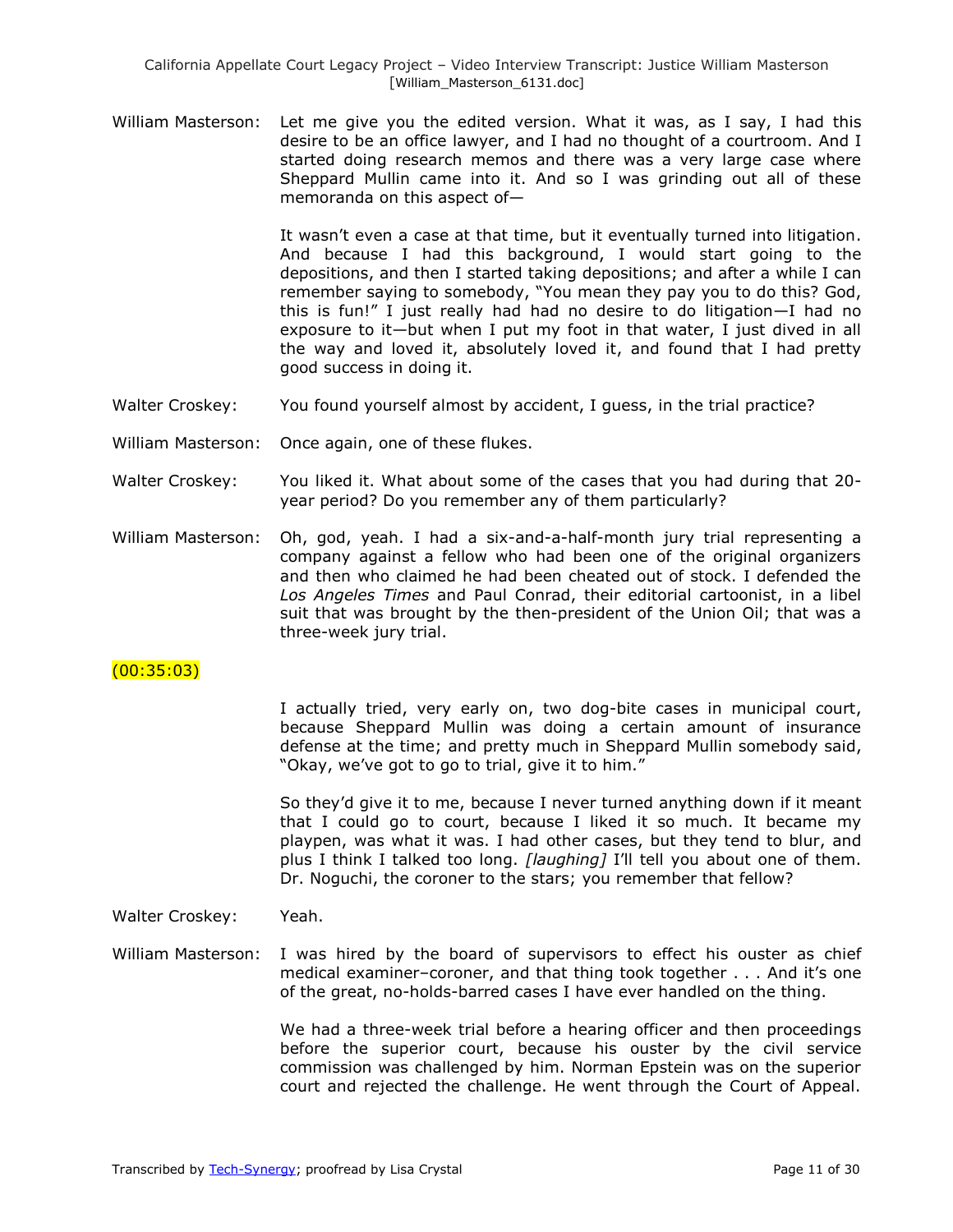William Masterson: Let me give you the edited version. What it was, as I say, I had this desire to be an office lawyer, and I had no thought of a courtroom. And I started doing research memos and there was a very large case where Sheppard Mullin came into it. And so I was grinding out all of these memoranda on this aspect of—

> It wasn't even a case at that time, but it eventually turned into litigation. And because I had this background, I would start going to the depositions, and then I started taking depositions; and after a while I can remember saying to somebody, "You mean they pay you to do this? God, this is fun!‖ I just really had had no desire to do litigation—I had no exposure to it—but when I put my foot in that water, I just dived in all the way and loved it, absolutely loved it, and found that I had pretty good success in doing it.

- Walter Croskey: You found yourself almost by accident, I guess, in the trial practice?
- William Masterson: Once again, one of these flukes.
- Walter Croskey: You liked it. What about some of the cases that you had during that 20 year period? Do you remember any of them particularly?
- William Masterson: Oh, god, yeah. I had a six-and-a-half-month jury trial representing a company against a fellow who had been one of the original organizers and then who claimed he had been cheated out of stock. I defended the *Los Angeles Times* and Paul Conrad, their editorial cartoonist, in a libel suit that was brought by the then-president of the Union Oil; that was a three-week jury trial.

### (00:35:03)

I actually tried, very early on, two dog-bite cases in municipal court, because Sheppard Mullin was doing a certain amount of insurance defense at the time; and pretty much in Sheppard Mullin somebody said, "Okay, we've got to go to trial, give it to him."

So they'd give it to me, because I never turned anything down if it meant that I could go to court, because I liked it so much. It became my playpen, was what it was. I had other cases, but they tend to blur, and plus I think I talked too long. *[laughing]* I'll tell you about one of them. Dr. Noguchi, the coroner to the stars; you remember that fellow?

Walter Croskey: Yeah.

William Masterson: I was hired by the board of supervisors to effect his ouster as chief medical examiner–coroner, and that thing took together . . . And it's one of the great, no-holds-barred cases I have ever handled on the thing.

> We had a three-week trial before a hearing officer and then proceedings before the superior court, because his ouster by the civil service commission was challenged by him. Norman Epstein was on the superior court and rejected the challenge. He went through the Court of Appeal.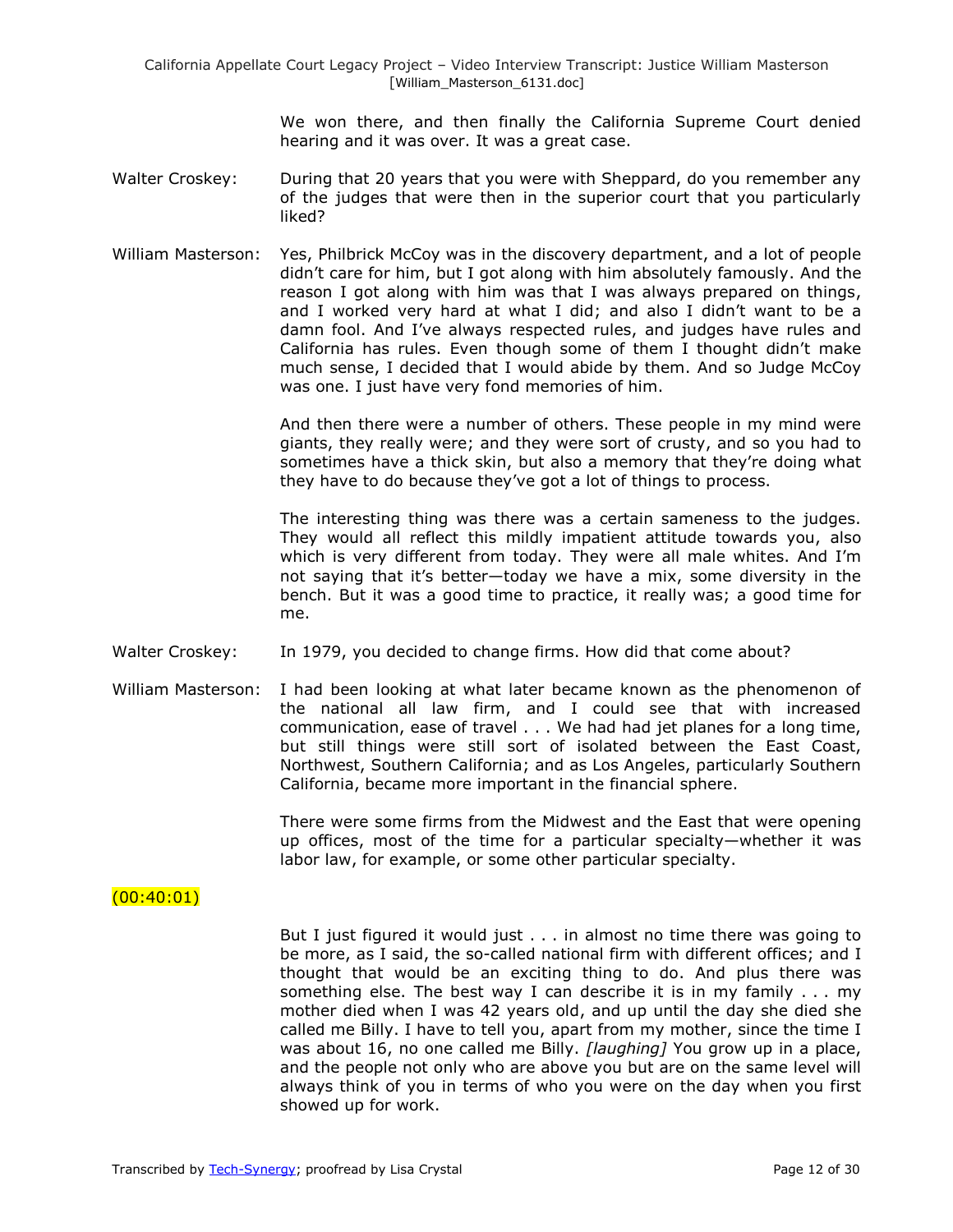We won there, and then finally the California Supreme Court denied hearing and it was over. It was a great case.

- Walter Croskey: During that 20 years that you were with Sheppard, do you remember any of the judges that were then in the superior court that you particularly liked?
- William Masterson: Yes, Philbrick McCoy was in the discovery department, and a lot of people didn't care for him, but I got along with him absolutely famously. And the reason I got along with him was that I was always prepared on things, and I worked very hard at what I did; and also I didn't want to be a damn fool. And I've always respected rules, and judges have rules and California has rules. Even though some of them I thought didn't make much sense, I decided that I would abide by them. And so Judge McCoy was one. I just have very fond memories of him.

And then there were a number of others. These people in my mind were giants, they really were; and they were sort of crusty, and so you had to sometimes have a thick skin, but also a memory that they're doing what they have to do because they've got a lot of things to process.

The interesting thing was there was a certain sameness to the judges. They would all reflect this mildly impatient attitude towards you, also which is very different from today. They were all male whites. And I'm not saying that it's better—today we have a mix, some diversity in the bench. But it was a good time to practice, it really was; a good time for me.

- Walter Croskey: In 1979, you decided to change firms. How did that come about?
- William Masterson: I had been looking at what later became known as the phenomenon of the national all law firm, and I could see that with increased communication, ease of travel . . . We had had jet planes for a long time, but still things were still sort of isolated between the East Coast, Northwest, Southern California; and as Los Angeles, particularly Southern California, became more important in the financial sphere.

There were some firms from the Midwest and the East that were opening up offices, most of the time for a particular specialty—whether it was labor law, for example, or some other particular specialty.

# $(00:40:01)$

But I just figured it would just . . . in almost no time there was going to be more, as I said, the so-called national firm with different offices; and I thought that would be an exciting thing to do. And plus there was something else. The best way I can describe it is in my family . . . my mother died when I was 42 years old, and up until the day she died she called me Billy. I have to tell you, apart from my mother, since the time I was about 16, no one called me Billy. *[laughing]* You grow up in a place, and the people not only who are above you but are on the same level will always think of you in terms of who you were on the day when you first showed up for work.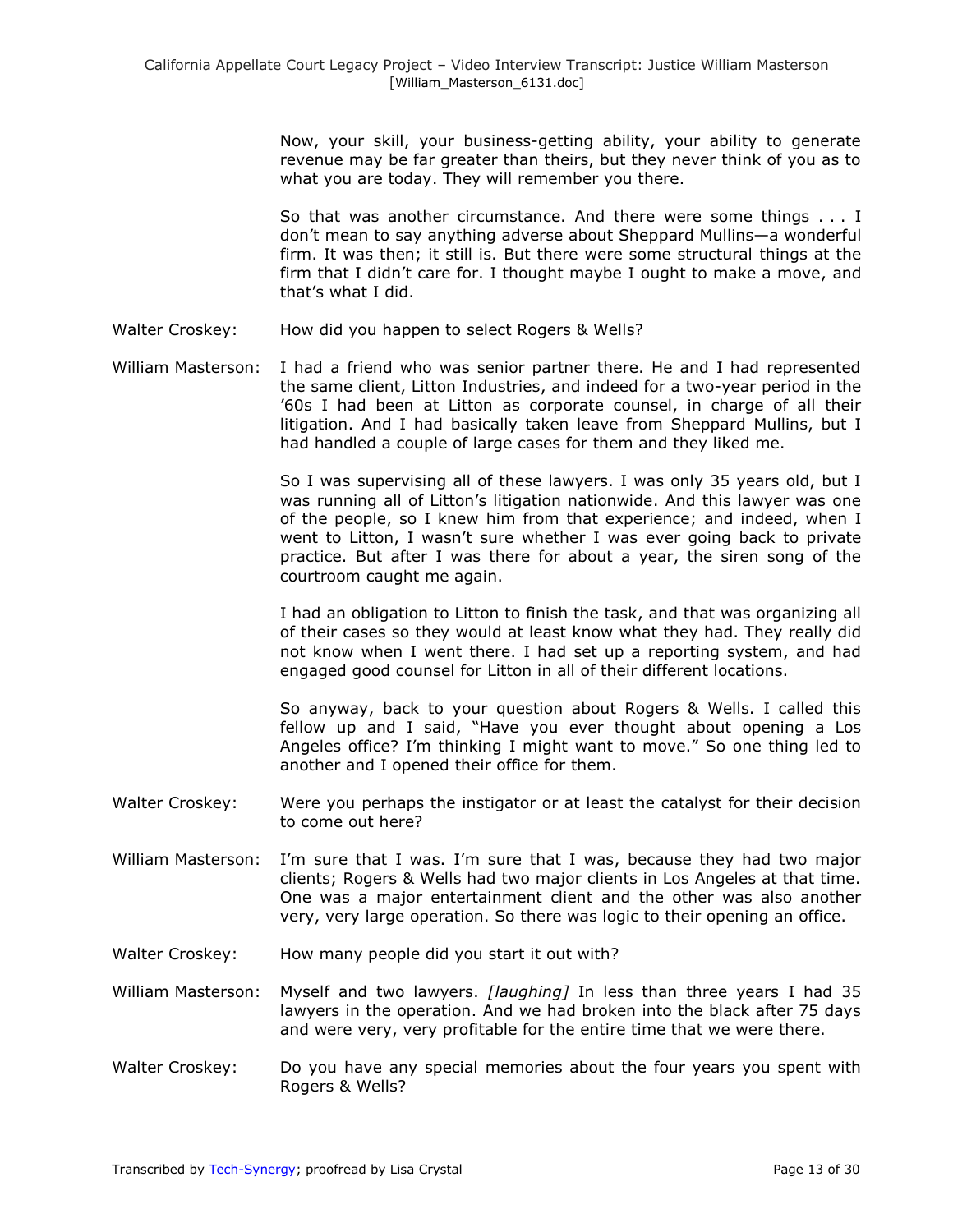Now, your skill, your business-getting ability, your ability to generate revenue may be far greater than theirs, but they never think of you as to what you are today. They will remember you there.

So that was another circumstance. And there were some things . . . I don't mean to say anything adverse about Sheppard Mullins—a wonderful firm. It was then; it still is. But there were some structural things at the firm that I didn't care for. I thought maybe I ought to make a move, and that's what I did.

- Walter Croskey: How did you happen to select Rogers & Wells?
- William Masterson: I had a friend who was senior partner there. He and I had represented the same client, Litton Industries, and indeed for a two-year period in the '60s I had been at Litton as corporate counsel, in charge of all their litigation. And I had basically taken leave from Sheppard Mullins, but I had handled a couple of large cases for them and they liked me.

So I was supervising all of these lawyers. I was only 35 years old, but I was running all of Litton's litigation nationwide. And this lawyer was one of the people, so I knew him from that experience; and indeed, when I went to Litton, I wasn't sure whether I was ever going back to private practice. But after I was there for about a year, the siren song of the courtroom caught me again.

I had an obligation to Litton to finish the task, and that was organizing all of their cases so they would at least know what they had. They really did not know when I went there. I had set up a reporting system, and had engaged good counsel for Litton in all of their different locations.

So anyway, back to your question about Rogers & Wells. I called this fellow up and I said, "Have you ever thought about opening a Los Angeles office? I'm thinking I might want to move." So one thing led to another and I opened their office for them.

- Walter Croskey: Were you perhaps the instigator or at least the catalyst for their decision to come out here?
- William Masterson: I'm sure that I was. I'm sure that I was, because they had two major clients; Rogers & Wells had two major clients in Los Angeles at that time. One was a major entertainment client and the other was also another very, very large operation. So there was logic to their opening an office.
- Walter Croskey: How many people did you start it out with?

William Masterson: Myself and two lawyers. *[laughing]* In less than three years I had 35 lawyers in the operation. And we had broken into the black after 75 days and were very, very profitable for the entire time that we were there.

Walter Croskey: Do you have any special memories about the four years you spent with Rogers & Wells?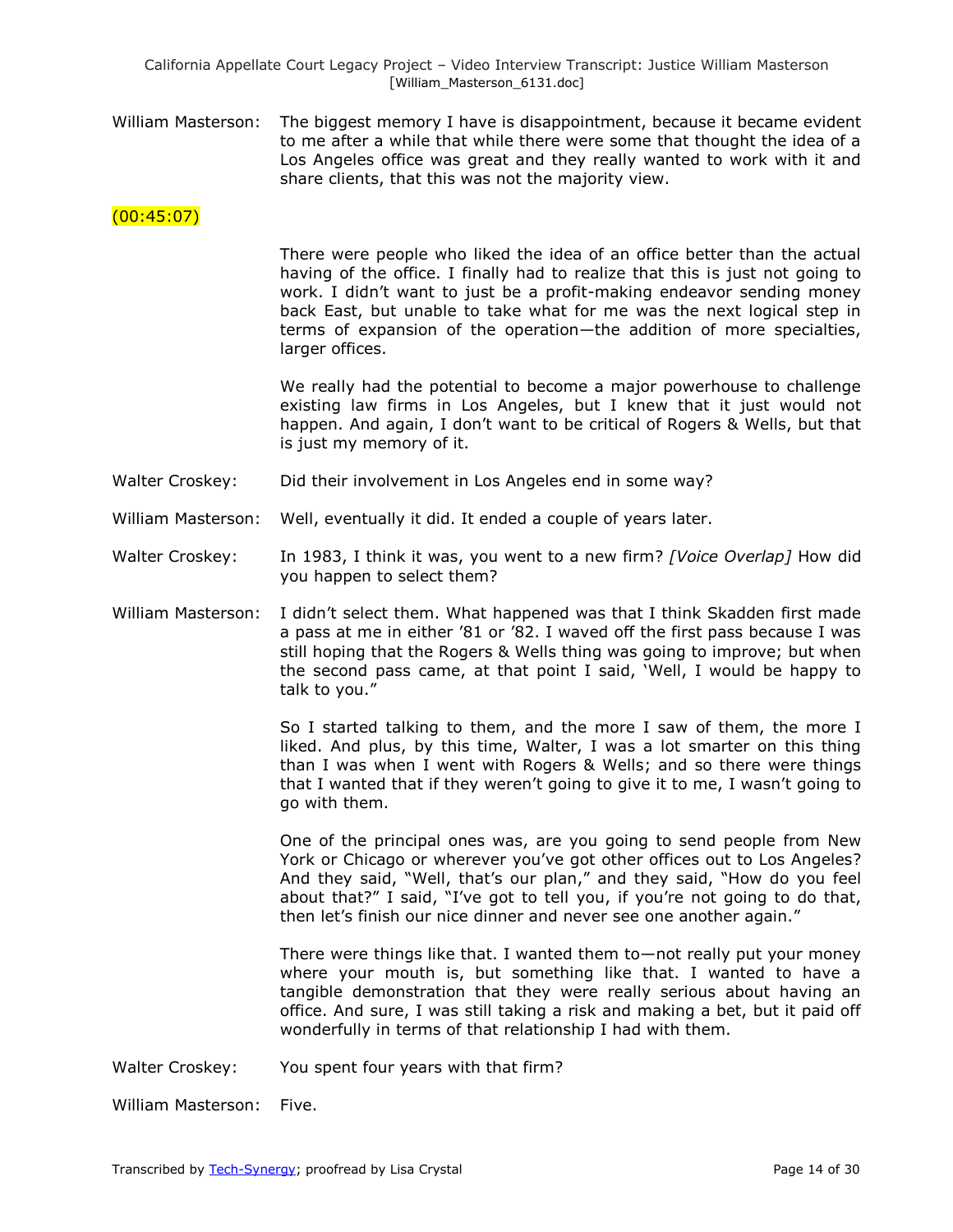William Masterson: The biggest memory I have is disappointment, because it became evident to me after a while that while there were some that thought the idea of a Los Angeles office was great and they really wanted to work with it and share clients, that this was not the majority view.

### $(00:45:07)$

There were people who liked the idea of an office better than the actual having of the office. I finally had to realize that this is just not going to work. I didn't want to just be a profit-making endeavor sending money back East, but unable to take what for me was the next logical step in terms of expansion of the operation—the addition of more specialties, larger offices.

We really had the potential to become a major powerhouse to challenge existing law firms in Los Angeles, but I knew that it just would not happen. And again, I don't want to be critical of Rogers & Wells, but that is just my memory of it.

- Walter Croskey: Did their involvement in Los Angeles end in some way?
- William Masterson: Well, eventually it did. It ended a couple of years later.
- Walter Croskey: In 1983, I think it was, you went to a new firm? *[Voice Overlap]* How did you happen to select them?
- William Masterson: I didn't select them. What happened was that I think Skadden first made a pass at me in either '81 or '82. I waved off the first pass because I was still hoping that the Rogers & Wells thing was going to improve; but when the second pass came, at that point I said, 'Well, I would be happy to talk to you."

So I started talking to them, and the more I saw of them, the more I liked. And plus, by this time, Walter, I was a lot smarter on this thing than I was when I went with Rogers & Wells; and so there were things that I wanted that if they weren't going to give it to me, I wasn't going to go with them.

One of the principal ones was, are you going to send people from New York or Chicago or wherever you've got other offices out to Los Angeles? And they said, "Well, that's our plan," and they said, "How do you feel about that?" I said, "I've got to tell you, if you're not going to do that, then let's finish our nice dinner and never see one another again."

There were things like that. I wanted them to—not really put your money where your mouth is, but something like that. I wanted to have a tangible demonstration that they were really serious about having an office. And sure, I was still taking a risk and making a bet, but it paid off wonderfully in terms of that relationship I had with them.

Walter Croskey: You spent four years with that firm?

William Masterson: Five.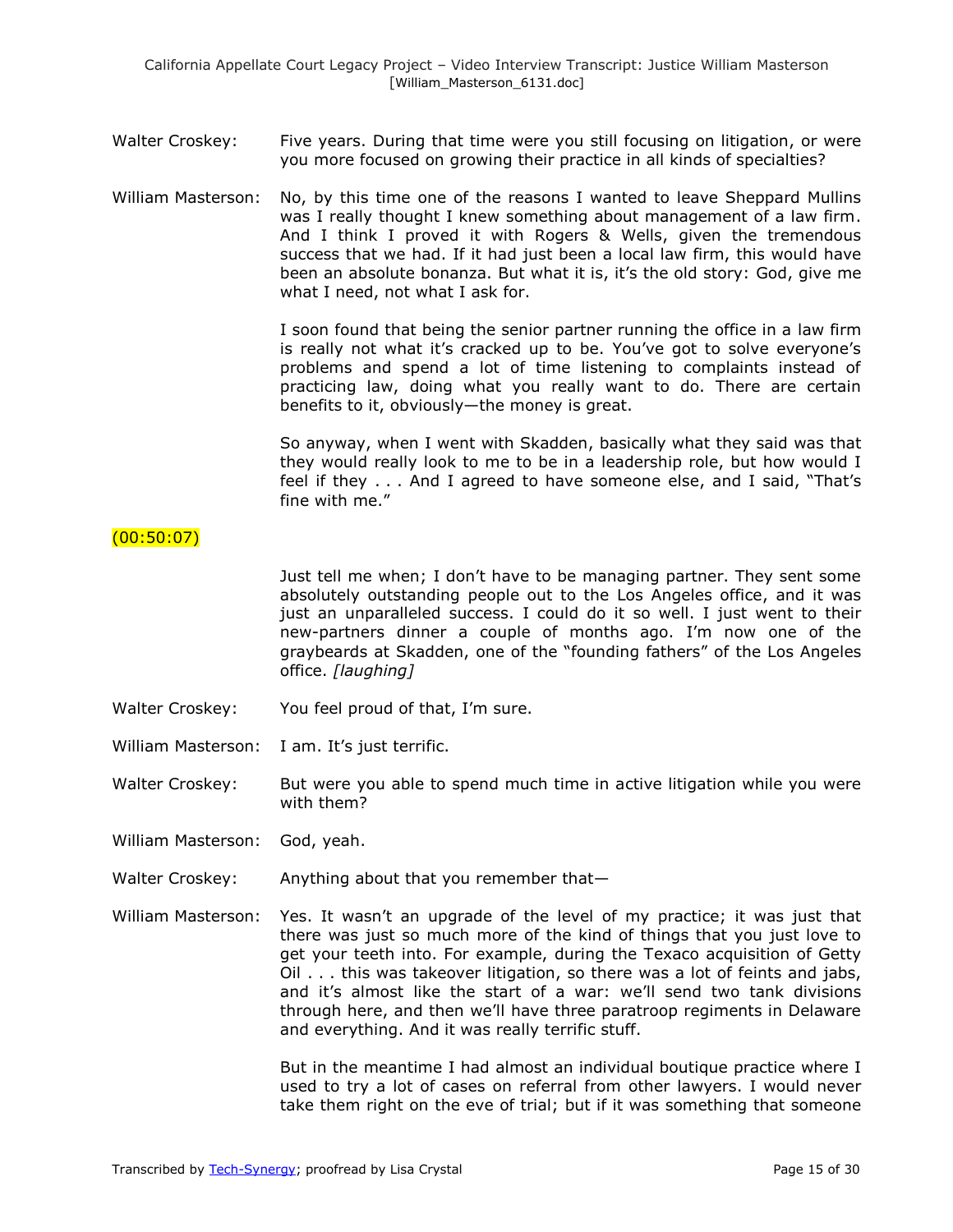Walter Croskey: Five years. During that time were you still focusing on litigation, or were you more focused on growing their practice in all kinds of specialties?

William Masterson: No, by this time one of the reasons I wanted to leave Sheppard Mullins was I really thought I knew something about management of a law firm. And I think I proved it with Rogers & Wells, given the tremendous success that we had. If it had just been a local law firm, this would have been an absolute bonanza. But what it is, it's the old story: God, give me what I need, not what I ask for.

> I soon found that being the senior partner running the office in a law firm is really not what it's cracked up to be. You've got to solve everyone's problems and spend a lot of time listening to complaints instead of practicing law, doing what you really want to do. There are certain benefits to it, obviously—the money is great.

> So anyway, when I went with Skadden, basically what they said was that they would really look to me to be in a leadership role, but how would I feel if they . . . And I agreed to have someone else, and I said, "That's fine with me."

### $(00:50:07)$

Just tell me when; I don't have to be managing partner. They sent some absolutely outstanding people out to the Los Angeles office, and it was just an unparalleled success. I could do it so well. I just went to their new-partners dinner a couple of months ago. I'm now one of the graybeards at Skadden, one of the "founding fathers" of the Los Angeles office. *[laughing]*

- Walter Croskey: You feel proud of that, I'm sure.
- William Masterson: I am. It's just terrific.
- Walter Croskey: But were you able to spend much time in active litigation while you were with them?
- William Masterson: God, yeah.
- Walter Croskey: Anything about that you remember that-
- William Masterson: Yes. It wasn't an upgrade of the level of my practice; it was just that there was just so much more of the kind of things that you just love to get your teeth into. For example, during the Texaco acquisition of Getty Oil . . . this was takeover litigation, so there was a lot of feints and jabs, and it's almost like the start of a war: we'll send two tank divisions through here, and then we'll have three paratroop regiments in Delaware and everything. And it was really terrific stuff.

But in the meantime I had almost an individual boutique practice where I used to try a lot of cases on referral from other lawyers. I would never take them right on the eve of trial; but if it was something that someone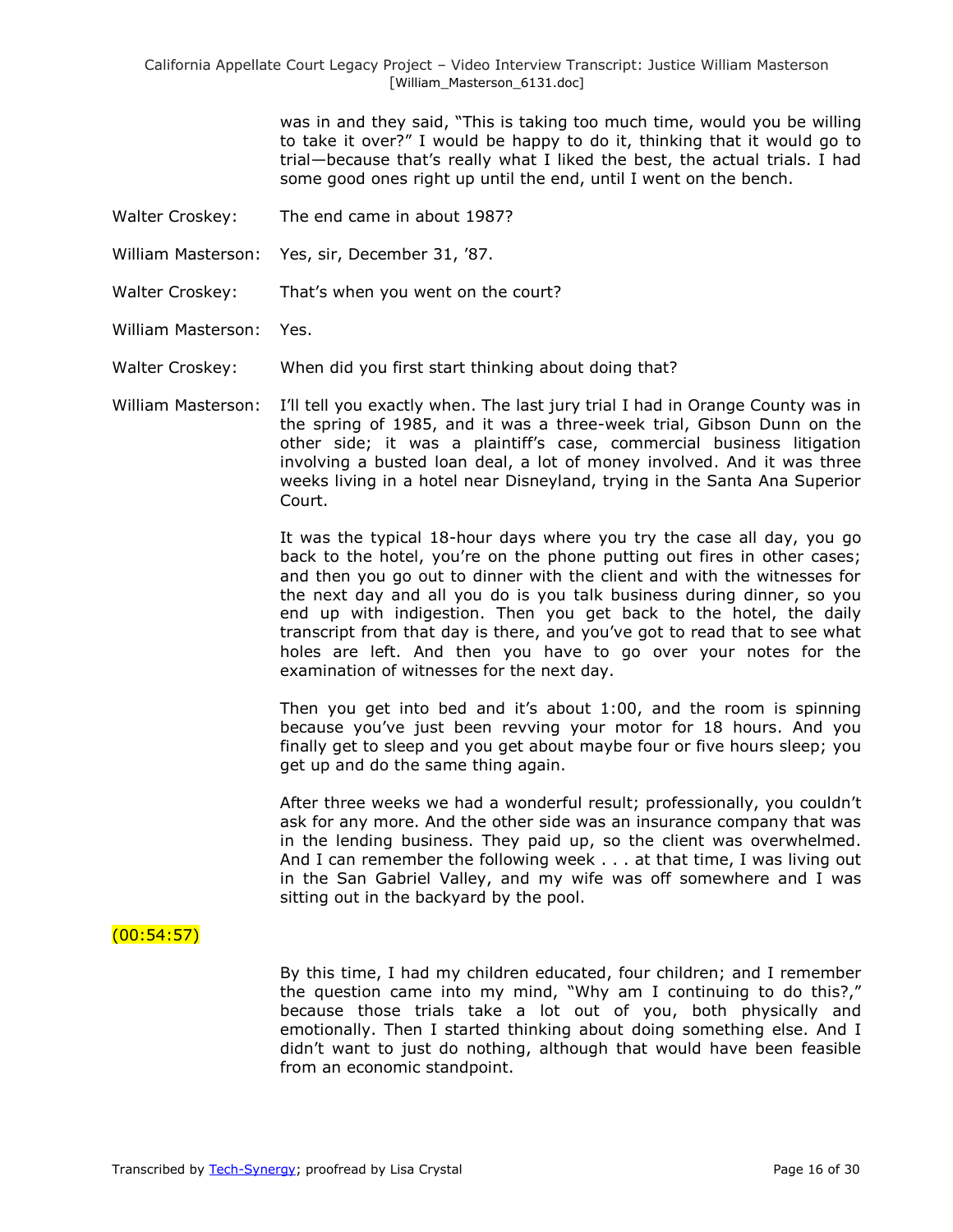was in and they said, "This is taking too much time, would you be willing to take it over?‖ I would be happy to do it, thinking that it would go to trial—because that's really what I liked the best, the actual trials. I had some good ones right up until the end, until I went on the bench.

- Walter Croskey: The end came in about 1987?
- William Masterson: Yes, sir, December 31, '87.
- Walter Croskey: That's when you went on the court?
- William Masterson: Yes.
- Walter Croskey: When did you first start thinking about doing that?
- William Masterson: I'll tell you exactly when. The last jury trial I had in Orange County was in the spring of 1985, and it was a three-week trial, Gibson Dunn on the other side; it was a plaintiff's case, commercial business litigation involving a busted loan deal, a lot of money involved. And it was three weeks living in a hotel near Disneyland, trying in the Santa Ana Superior Court.

It was the typical 18-hour days where you try the case all day, you go back to the hotel, you're on the phone putting out fires in other cases; and then you go out to dinner with the client and with the witnesses for the next day and all you do is you talk business during dinner, so you end up with indigestion. Then you get back to the hotel, the daily transcript from that day is there, and you've got to read that to see what holes are left. And then you have to go over your notes for the examination of witnesses for the next day.

Then you get into bed and it's about 1:00, and the room is spinning because you've just been revving your motor for 18 hours. And you finally get to sleep and you get about maybe four or five hours sleep; you get up and do the same thing again.

After three weeks we had a wonderful result; professionally, you couldn't ask for any more. And the other side was an insurance company that was in the lending business. They paid up, so the client was overwhelmed. And I can remember the following week . . . at that time, I was living out in the San Gabriel Valley, and my wife was off somewhere and I was sitting out in the backyard by the pool.

# $(00:54:57)$

By this time, I had my children educated, four children; and I remember the question came into my mind, "Why am I continuing to do this?," because those trials take a lot out of you, both physically and emotionally. Then I started thinking about doing something else. And I didn't want to just do nothing, although that would have been feasible from an economic standpoint.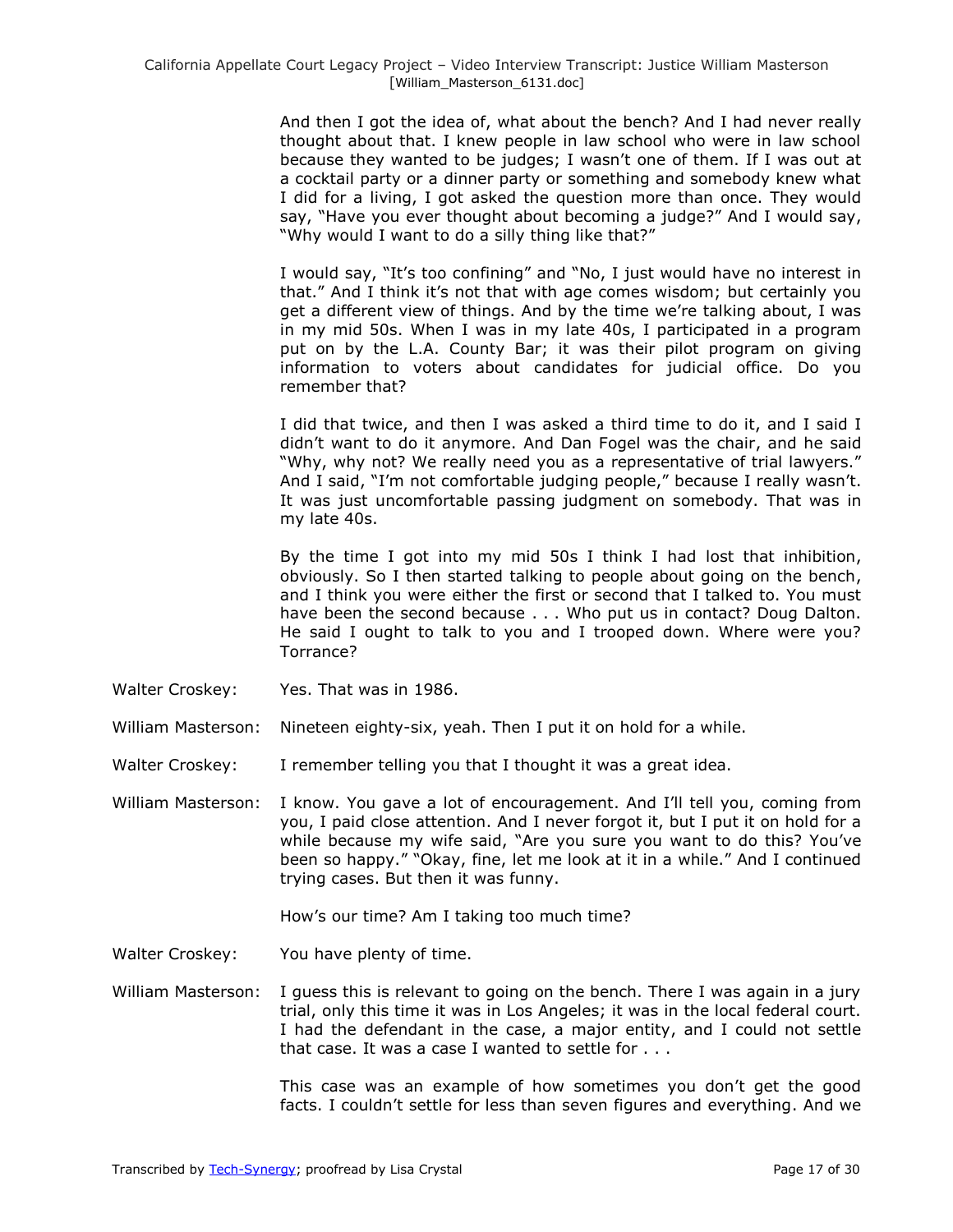And then I got the idea of, what about the bench? And I had never really thought about that. I knew people in law school who were in law school because they wanted to be judges; I wasn't one of them. If I was out at a cocktail party or a dinner party or something and somebody knew what I did for a living, I got asked the question more than once. They would say, "Have you ever thought about becoming a judge?" And I would say, "Why would I want to do a silly thing like that?"

I would say, "It's too confining" and "No, I just would have no interest in that.‖ And I think it's not that with age comes wisdom; but certainly you get a different view of things. And by the time we're talking about, I was in my mid 50s. When I was in my late 40s, I participated in a program put on by the L.A. County Bar; it was their pilot program on giving information to voters about candidates for judicial office. Do you remember that?

I did that twice, and then I was asked a third time to do it, and I said I didn't want to do it anymore. And Dan Fogel was the chair, and he said "Why, why not? We really need you as a representative of trial lawyers." And I said, "I'm not comfortable judging people," because I really wasn't. It was just uncomfortable passing judgment on somebody. That was in my late 40s.

By the time I got into my mid 50s I think I had lost that inhibition, obviously. So I then started talking to people about going on the bench, and I think you were either the first or second that I talked to. You must have been the second because . . . Who put us in contact? Doug Dalton. He said I ought to talk to you and I trooped down. Where were you? Torrance?

Walter Croskey: Yes. That was in 1986.

William Masterson: Nineteen eighty-six, yeah. Then I put it on hold for a while.

- Walter Croskey: I remember telling you that I thought it was a great idea.
- William Masterson: I know. You gave a lot of encouragement. And I'll tell you, coming from you, I paid close attention. And I never forgot it, but I put it on hold for a while because my wife said, "Are you sure you want to do this? You've been so happy." "Okay, fine, let me look at it in a while." And I continued trying cases. But then it was funny.

How's our time? Am I taking too much time?

Walter Croskey: You have plenty of time.

William Masterson: I guess this is relevant to going on the bench. There I was again in a jury trial, only this time it was in Los Angeles; it was in the local federal court. I had the defendant in the case, a major entity, and I could not settle that case. It was a case I wanted to settle for . . .

> This case was an example of how sometimes you don't get the good facts. I couldn't settle for less than seven figures and everything. And we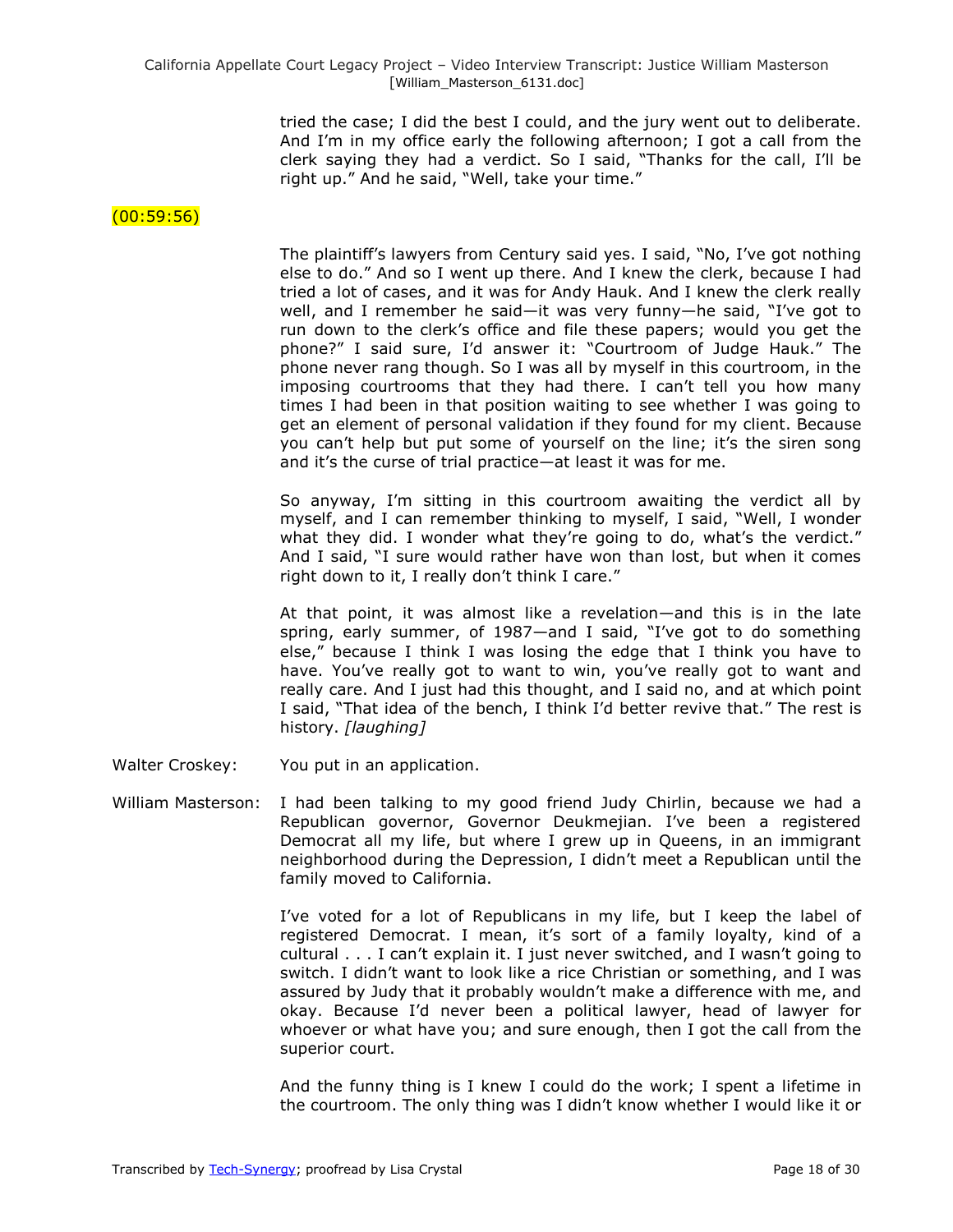tried the case; I did the best I could, and the jury went out to deliberate. And I'm in my office early the following afternoon; I got a call from the clerk saying they had a verdict. So I said, "Thanks for the call, I'll be right up." And he said, "Well, take your time."

### $(00:59:56)$

The plaintiff's lawyers from Century said yes. I said, "No, I've got nothing else to do." And so I went up there. And I knew the clerk, because I had tried a lot of cases, and it was for Andy Hauk. And I knew the clerk really well, and I remember he said—it was very funny—he said, "I've got to run down to the clerk's office and file these papers; would you get the phone?" I said sure, I'd answer it: "Courtroom of Judge Hauk." The phone never rang though. So I was all by myself in this courtroom, in the imposing courtrooms that they had there. I can't tell you how many times I had been in that position waiting to see whether I was going to get an element of personal validation if they found for my client. Because you can't help but put some of yourself on the line; it's the siren song and it's the curse of trial practice—at least it was for me.

So anyway, I'm sitting in this courtroom awaiting the verdict all by myself, and I can remember thinking to myself, I said, "Well, I wonder what they did. I wonder what they're going to do, what's the verdict." And I said, "I sure would rather have won than lost, but when it comes right down to it, I really don't think I care."

At that point, it was almost like a revelation—and this is in the late spring, early summer, of 1987—and I said, "I've got to do something else," because I think I was losing the edge that I think you have to have. You've really got to want to win, you've really got to want and really care. And I just had this thought, and I said no, and at which point I said, "That idea of the bench, I think I'd better revive that." The rest is history. *[laughing]*

- Walter Croskey: You put in an application.
- William Masterson: I had been talking to my good friend Judy Chirlin, because we had a Republican governor, Governor Deukmejian. I've been a registered Democrat all my life, but where I grew up in Queens, in an immigrant neighborhood during the Depression, I didn't meet a Republican until the family moved to California.

I've voted for a lot of Republicans in my life, but I keep the label of registered Democrat. I mean, it's sort of a family loyalty, kind of a cultural . . . I can't explain it. I just never switched, and I wasn't going to switch. I didn't want to look like a rice Christian or something, and I was assured by Judy that it probably wouldn't make a difference with me, and okay. Because I'd never been a political lawyer, head of lawyer for whoever or what have you; and sure enough, then I got the call from the superior court.

And the funny thing is I knew I could do the work; I spent a lifetime in the courtroom. The only thing was I didn't know whether I would like it or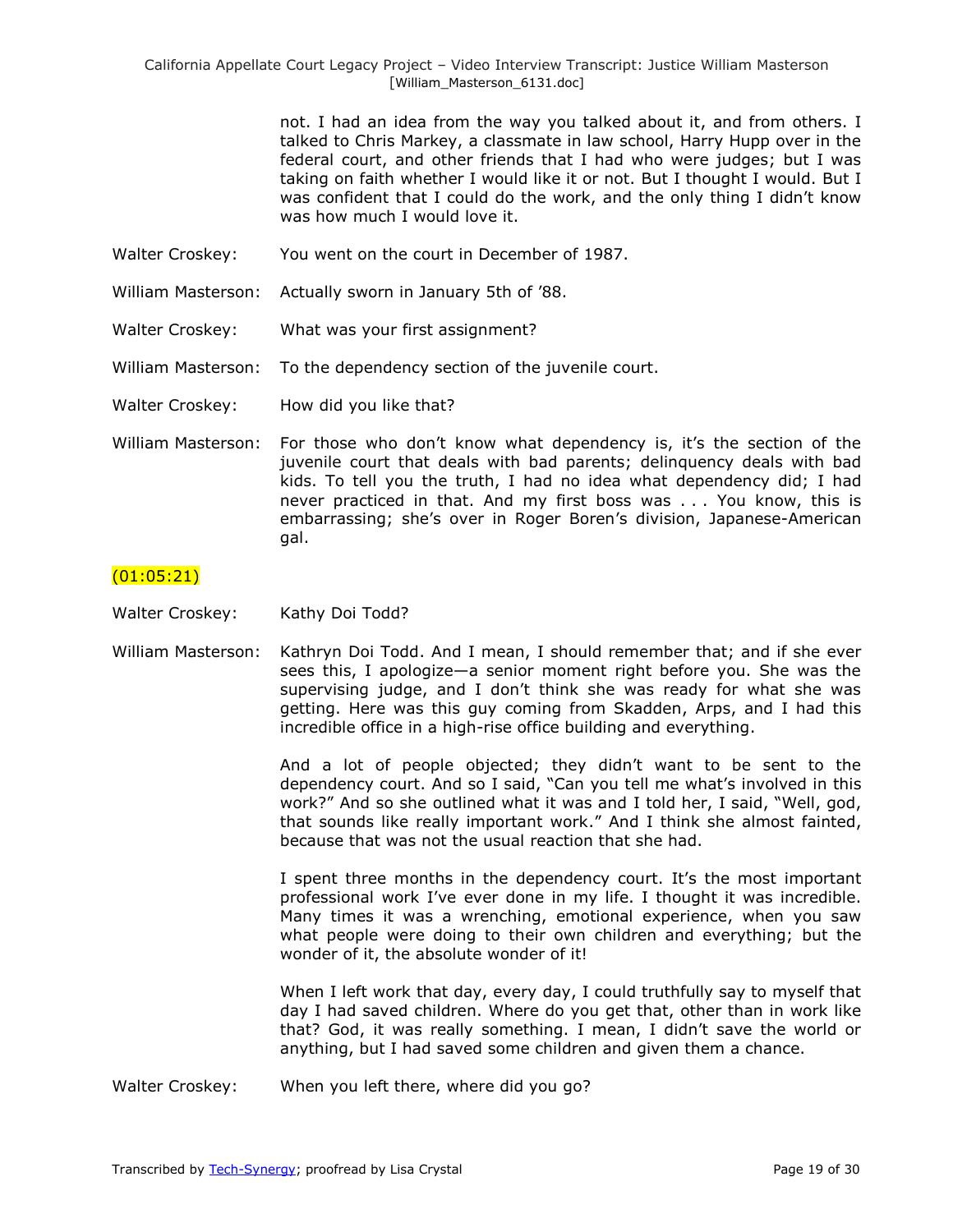> not. I had an idea from the way you talked about it, and from others. I talked to Chris Markey, a classmate in law school, Harry Hupp over in the federal court, and other friends that I had who were judges; but I was taking on faith whether I would like it or not. But I thought I would. But I was confident that I could do the work, and the only thing I didn't know was how much I would love it.

- Walter Croskey: You went on the court in December of 1987.
- William Masterson: Actually sworn in January 5th of '88.
- Walter Croskey: What was your first assignment?

William Masterson: To the dependency section of the juvenile court.

Walter Croskey: How did you like that?

William Masterson: For those who don't know what dependency is, it's the section of the juvenile court that deals with bad parents; delinquency deals with bad kids. To tell you the truth, I had no idea what dependency did; I had never practiced in that. And my first boss was . . . You know, this is embarrassing; she's over in Roger Boren's division, Japanese-American gal.

#### $(01:05:21)$

- Walter Croskey: Kathy Doi Todd?
- William Masterson: Kathryn Doi Todd. And I mean, I should remember that; and if she ever sees this, I apologize—a senior moment right before you. She was the supervising judge, and I don't think she was ready for what she was getting. Here was this guy coming from Skadden, Arps, and I had this incredible office in a high-rise office building and everything.

And a lot of people objected; they didn't want to be sent to the dependency court. And so I said, "Can you tell me what's involved in this work?" And so she outlined what it was and I told her, I said, "Well, god, that sounds like really important work." And I think she almost fainted, because that was not the usual reaction that she had.

I spent three months in the dependency court. It's the most important professional work I've ever done in my life. I thought it was incredible. Many times it was a wrenching, emotional experience, when you saw what people were doing to their own children and everything; but the wonder of it, the absolute wonder of it!

When I left work that day, every day, I could truthfully say to myself that day I had saved children. Where do you get that, other than in work like that? God, it was really something. I mean, I didn't save the world or anything, but I had saved some children and given them a chance.

Walter Croskey: When you left there, where did you go?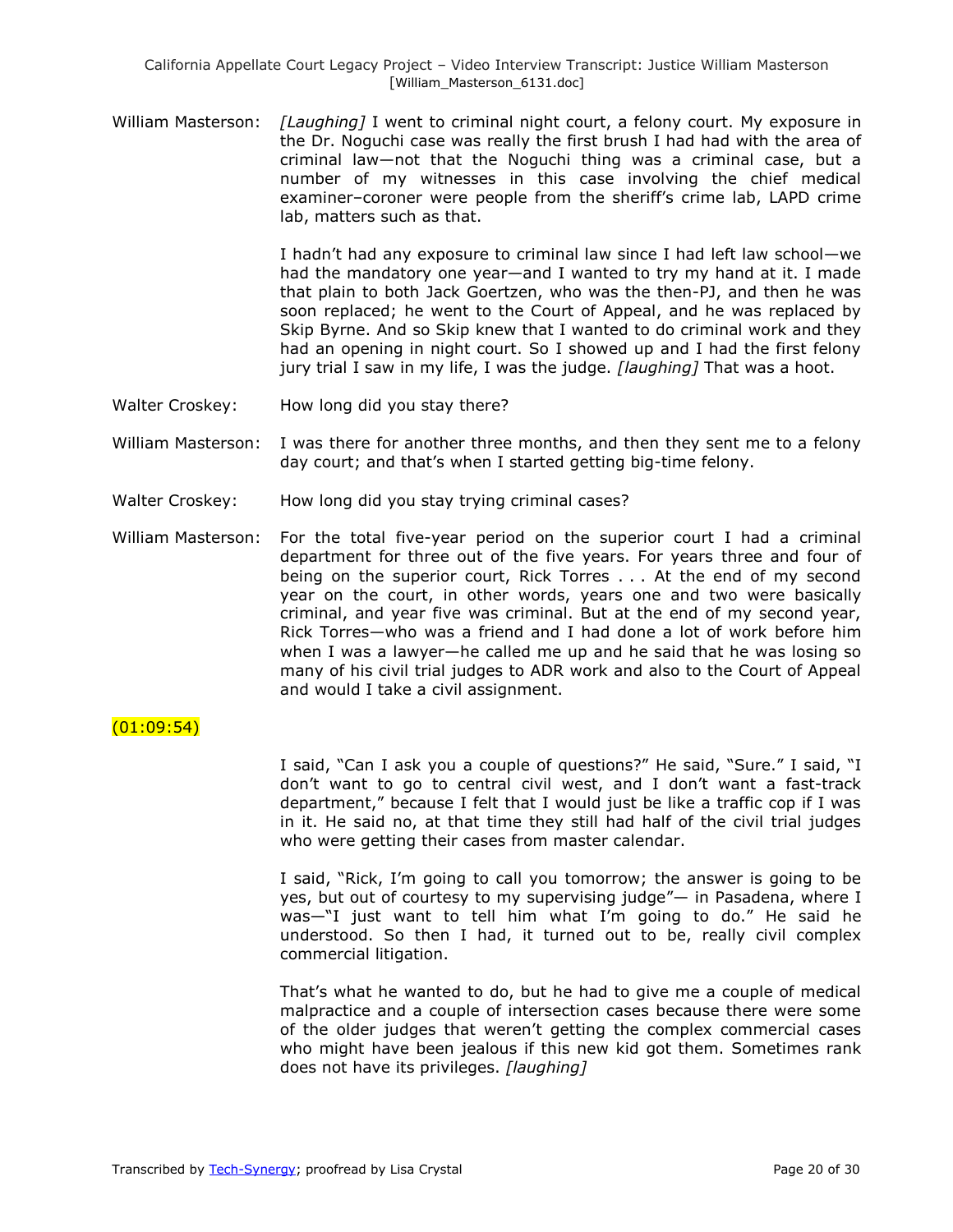William Masterson: *[Laughing]* I went to criminal night court, a felony court. My exposure in the Dr. Noguchi case was really the first brush I had had with the area of criminal law—not that the Noguchi thing was a criminal case, but a number of my witnesses in this case involving the chief medical examiner–coroner were people from the sheriff's crime lab, LAPD crime lab, matters such as that.

> I hadn't had any exposure to criminal law since I had left law school—we had the mandatory one year—and I wanted to try my hand at it. I made that plain to both Jack Goertzen, who was the then-PJ, and then he was soon replaced; he went to the Court of Appeal, and he was replaced by Skip Byrne. And so Skip knew that I wanted to do criminal work and they had an opening in night court. So I showed up and I had the first felony jury trial I saw in my life, I was the judge. *[laughing]* That was a hoot.

- Walter Croskey: How long did you stay there?
- William Masterson: I was there for another three months, and then they sent me to a felony day court; and that's when I started getting big-time felony.
- Walter Croskey: How long did you stay trying criminal cases?
- William Masterson: For the total five-year period on the superior court I had a criminal department for three out of the five years. For years three and four of being on the superior court, Rick Torres . . . At the end of my second year on the court, in other words, years one and two were basically criminal, and year five was criminal. But at the end of my second year, Rick Torres—who was a friend and I had done a lot of work before him when I was a lawyer—he called me up and he said that he was losing so many of his civil trial judges to ADR work and also to the Court of Appeal and would I take a civil assignment.

#### $(01:09:54)$

I said, "Can I ask you a couple of questions?" He said, "Sure." I said, "I don't want to go to central civil west, and I don't want a fast-track department," because I felt that I would just be like a traffic cop if I was in it. He said no, at that time they still had half of the civil trial judges who were getting their cases from master calendar.

I said, "Rick, I'm going to call you tomorrow; the answer is going to be yes, but out of courtesy to my supervising judge"— in Pasadena, where I was— $\mathrm{N}$  just want to tell him what I'm going to do." He said he understood. So then I had, it turned out to be, really civil complex commercial litigation.

That's what he wanted to do, but he had to give me a couple of medical malpractice and a couple of intersection cases because there were some of the older judges that weren't getting the complex commercial cases who might have been jealous if this new kid got them. Sometimes rank does not have its privileges. *[laughing]*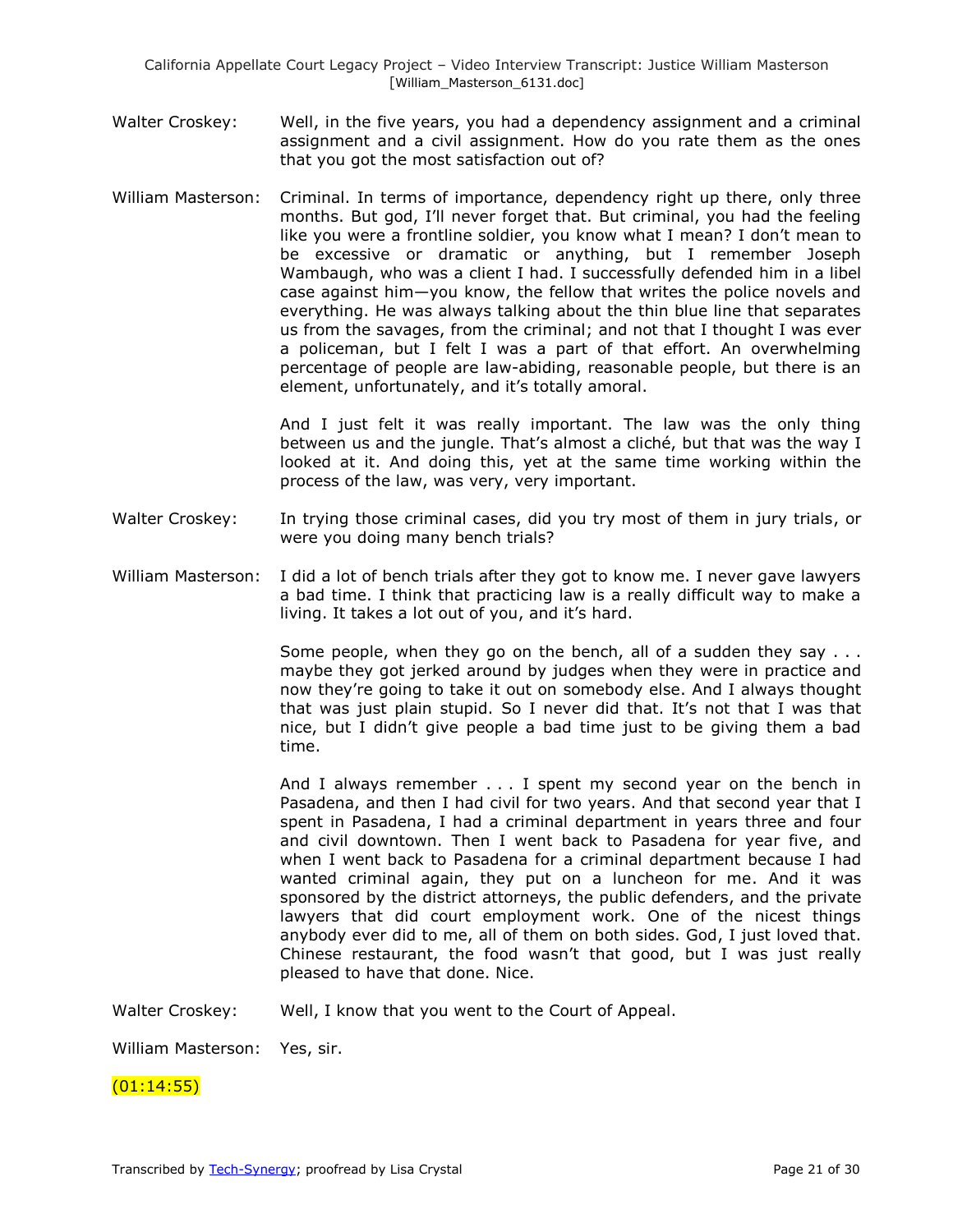- Walter Croskey: Well, in the five years, you had a dependency assignment and a criminal assignment and a civil assignment. How do you rate them as the ones that you got the most satisfaction out of?
- William Masterson: Criminal. In terms of importance, dependency right up there, only three months. But god, I'll never forget that. But criminal, you had the feeling like you were a frontline soldier, you know what I mean? I don't mean to be excessive or dramatic or anything, but I remember Joseph Wambaugh, who was a client I had. I successfully defended him in a libel case against him—you know, the fellow that writes the police novels and everything. He was always talking about the thin blue line that separates us from the savages, from the criminal; and not that I thought I was ever a policeman, but I felt I was a part of that effort. An overwhelming percentage of people are law-abiding, reasonable people, but there is an element, unfortunately, and it's totally amoral.

And I just felt it was really important. The law was the only thing between us and the jungle. That's almost a cliché, but that was the way I looked at it. And doing this, yet at the same time working within the process of the law, was very, very important.

- Walter Croskey: In trying those criminal cases, did you try most of them in jury trials, or were you doing many bench trials?
- William Masterson: I did a lot of bench trials after they got to know me. I never gave lawyers a bad time. I think that practicing law is a really difficult way to make a living. It takes a lot out of you, and it's hard.

Some people, when they go on the bench, all of a sudden they say . . . maybe they got jerked around by judges when they were in practice and now they're going to take it out on somebody else. And I always thought that was just plain stupid. So I never did that. It's not that I was that nice, but I didn't give people a bad time just to be giving them a bad time.

And I always remember . . . I spent my second year on the bench in Pasadena, and then I had civil for two years. And that second year that I spent in Pasadena, I had a criminal department in years three and four and civil downtown. Then I went back to Pasadena for year five, and when I went back to Pasadena for a criminal department because I had wanted criminal again, they put on a luncheon for me. And it was sponsored by the district attorneys, the public defenders, and the private lawyers that did court employment work. One of the nicest things anybody ever did to me, all of them on both sides. God, I just loved that. Chinese restaurant, the food wasn't that good, but I was just really pleased to have that done. Nice.

Walter Croskey: Well, I know that you went to the Court of Appeal.

William Masterson: Yes, sir.

 $(01:14:55)$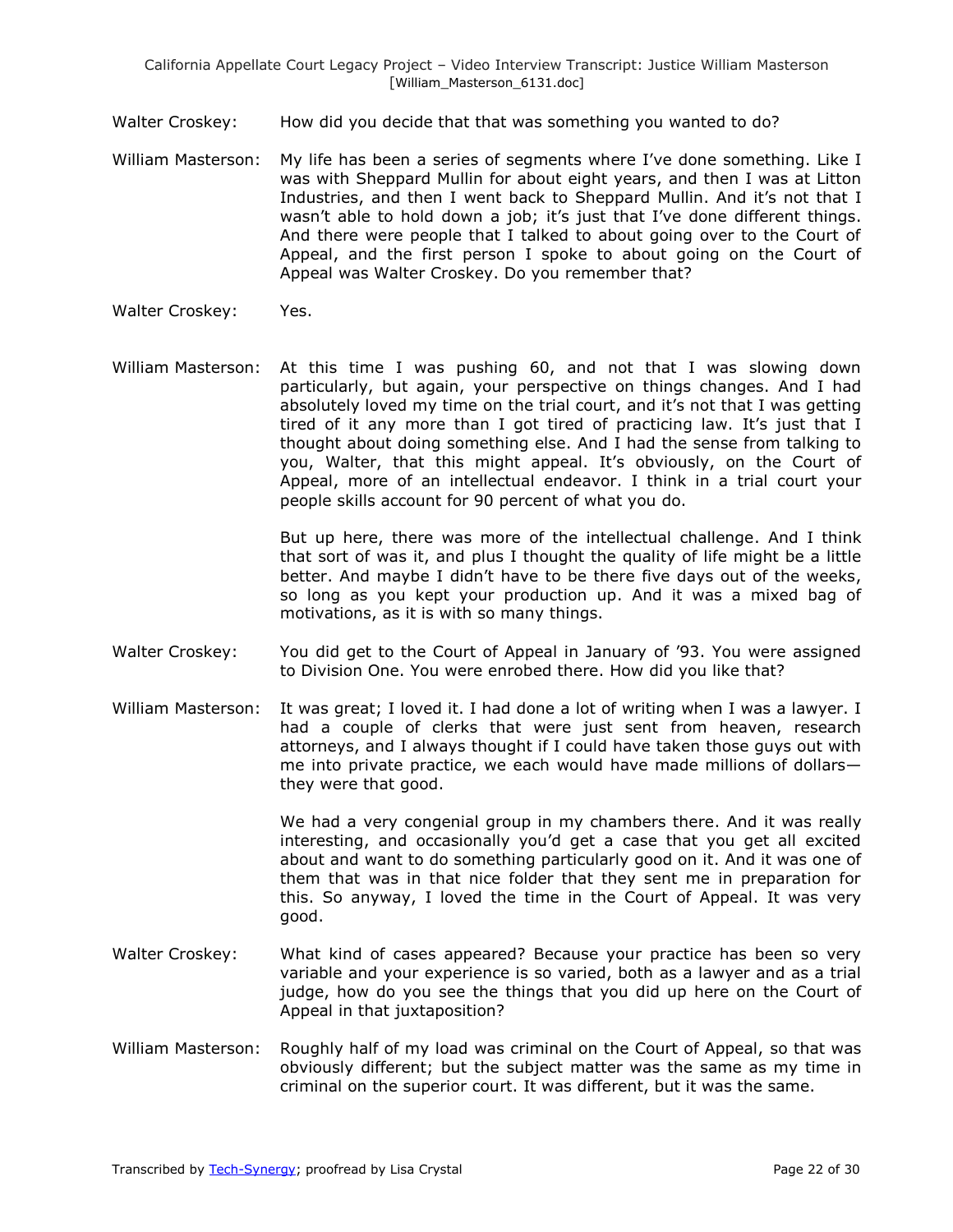Walter Croskey: How did you decide that that was something you wanted to do?

- William Masterson: My life has been a series of segments where I've done something. Like I was with Sheppard Mullin for about eight years, and then I was at Litton Industries, and then I went back to Sheppard Mullin. And it's not that I wasn't able to hold down a job; it's just that I've done different things. And there were people that I talked to about going over to the Court of Appeal, and the first person I spoke to about going on the Court of Appeal was Walter Croskey. Do you remember that?
- Walter Croskey: Yes.
- William Masterson: At this time I was pushing 60, and not that I was slowing down particularly, but again, your perspective on things changes. And I had absolutely loved my time on the trial court, and it's not that I was getting tired of it any more than I got tired of practicing law. It's just that I thought about doing something else. And I had the sense from talking to you, Walter, that this might appeal. It's obviously, on the Court of Appeal, more of an intellectual endeavor. I think in a trial court your people skills account for 90 percent of what you do.

But up here, there was more of the intellectual challenge. And I think that sort of was it, and plus I thought the quality of life might be a little better. And maybe I didn't have to be there five days out of the weeks, so long as you kept your production up. And it was a mixed bag of motivations, as it is with so many things.

- Walter Croskey: You did get to the Court of Appeal in January of '93. You were assigned to Division One. You were enrobed there. How did you like that?
- William Masterson: It was great; I loved it. I had done a lot of writing when I was a lawyer. I had a couple of clerks that were just sent from heaven, research attorneys, and I always thought if I could have taken those guys out with me into private practice, we each would have made millions of dollars they were that good.

We had a very congenial group in my chambers there. And it was really interesting, and occasionally you'd get a case that you get all excited about and want to do something particularly good on it. And it was one of them that was in that nice folder that they sent me in preparation for this. So anyway, I loved the time in the Court of Appeal. It was very good.

- Walter Croskey: What kind of cases appeared? Because your practice has been so very variable and your experience is so varied, both as a lawyer and as a trial judge, how do you see the things that you did up here on the Court of Appeal in that juxtaposition?
- William Masterson: Roughly half of my load was criminal on the Court of Appeal, so that was obviously different; but the subject matter was the same as my time in criminal on the superior court. It was different, but it was the same.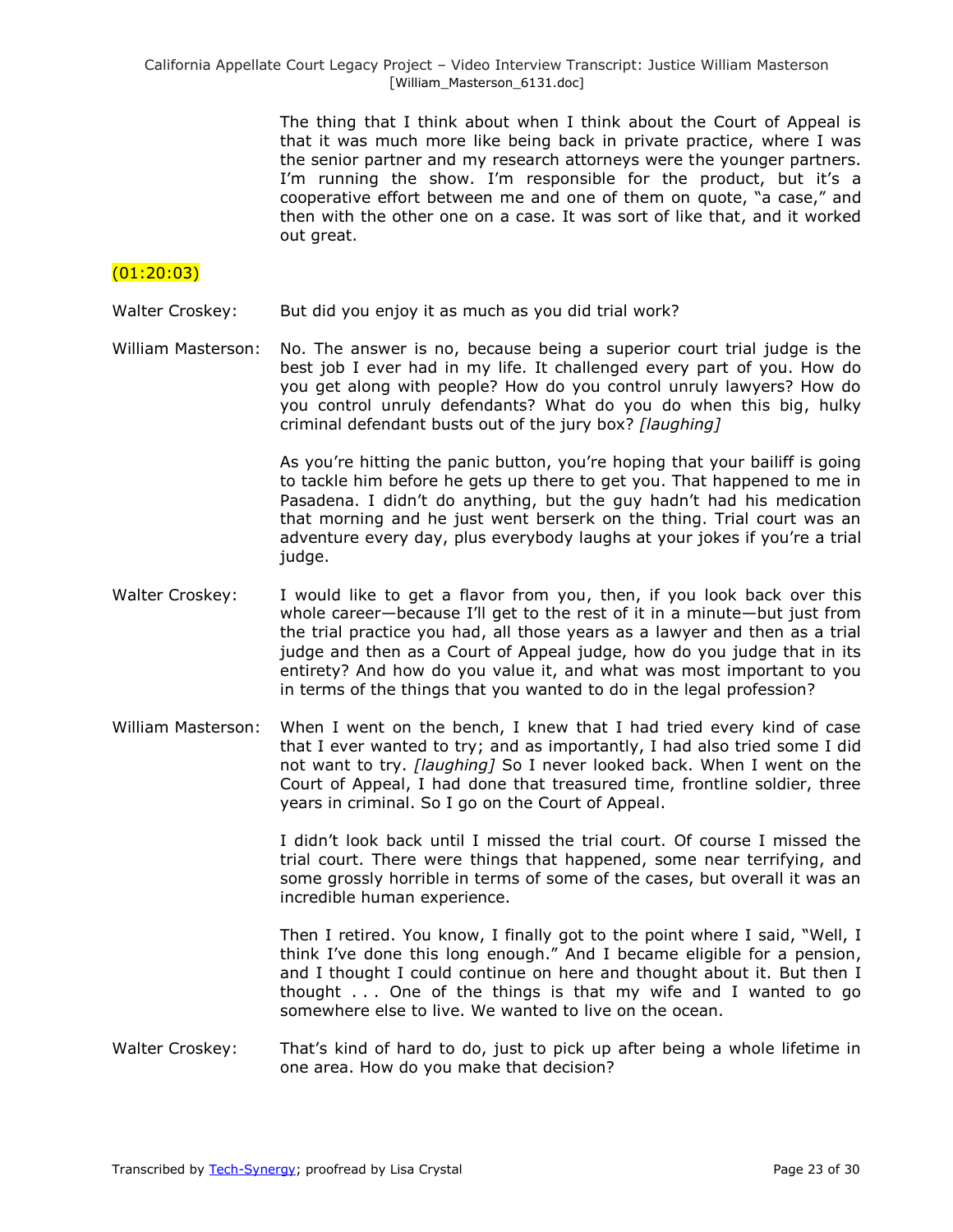The thing that I think about when I think about the Court of Appeal is that it was much more like being back in private practice, where I was the senior partner and my research attorneys were the younger partners. I'm running the show. I'm responsible for the product, but it's a cooperative effort between me and one of them on quote, "a case," and then with the other one on a case. It was sort of like that, and it worked out great.

# $(01:20:03)$

- Walter Croskey: But did you enjoy it as much as you did trial work?
- William Masterson: No. The answer is no, because being a superior court trial judge is the best job I ever had in my life. It challenged every part of you. How do you get along with people? How do you control unruly lawyers? How do you control unruly defendants? What do you do when this big, hulky criminal defendant busts out of the jury box? *[laughing]*

As you're hitting the panic button, you're hoping that your bailiff is going to tackle him before he gets up there to get you. That happened to me in Pasadena. I didn't do anything, but the guy hadn't had his medication that morning and he just went berserk on the thing. Trial court was an adventure every day, plus everybody laughs at your jokes if you're a trial judge.

- Walter Croskey: I would like to get a flavor from you, then, if you look back over this whole career—because I'll get to the rest of it in a minute—but just from the trial practice you had, all those years as a lawyer and then as a trial judge and then as a Court of Appeal judge, how do you judge that in its entirety? And how do you value it, and what was most important to you in terms of the things that you wanted to do in the legal profession?
- William Masterson: When I went on the bench, I knew that I had tried every kind of case that I ever wanted to try; and as importantly, I had also tried some I did not want to try. *[laughing]* So I never looked back. When I went on the Court of Appeal, I had done that treasured time, frontline soldier, three years in criminal. So I go on the Court of Appeal.

I didn't look back until I missed the trial court. Of course I missed the trial court. There were things that happened, some near terrifying, and some grossly horrible in terms of some of the cases, but overall it was an incredible human experience.

Then I retired. You know, I finally got to the point where I said, "Well, I think I've done this long enough." And I became eligible for a pension, and I thought I could continue on here and thought about it. But then I thought . . . One of the things is that my wife and I wanted to go somewhere else to live. We wanted to live on the ocean.

Walter Croskey: That's kind of hard to do, just to pick up after being a whole lifetime in one area. How do you make that decision?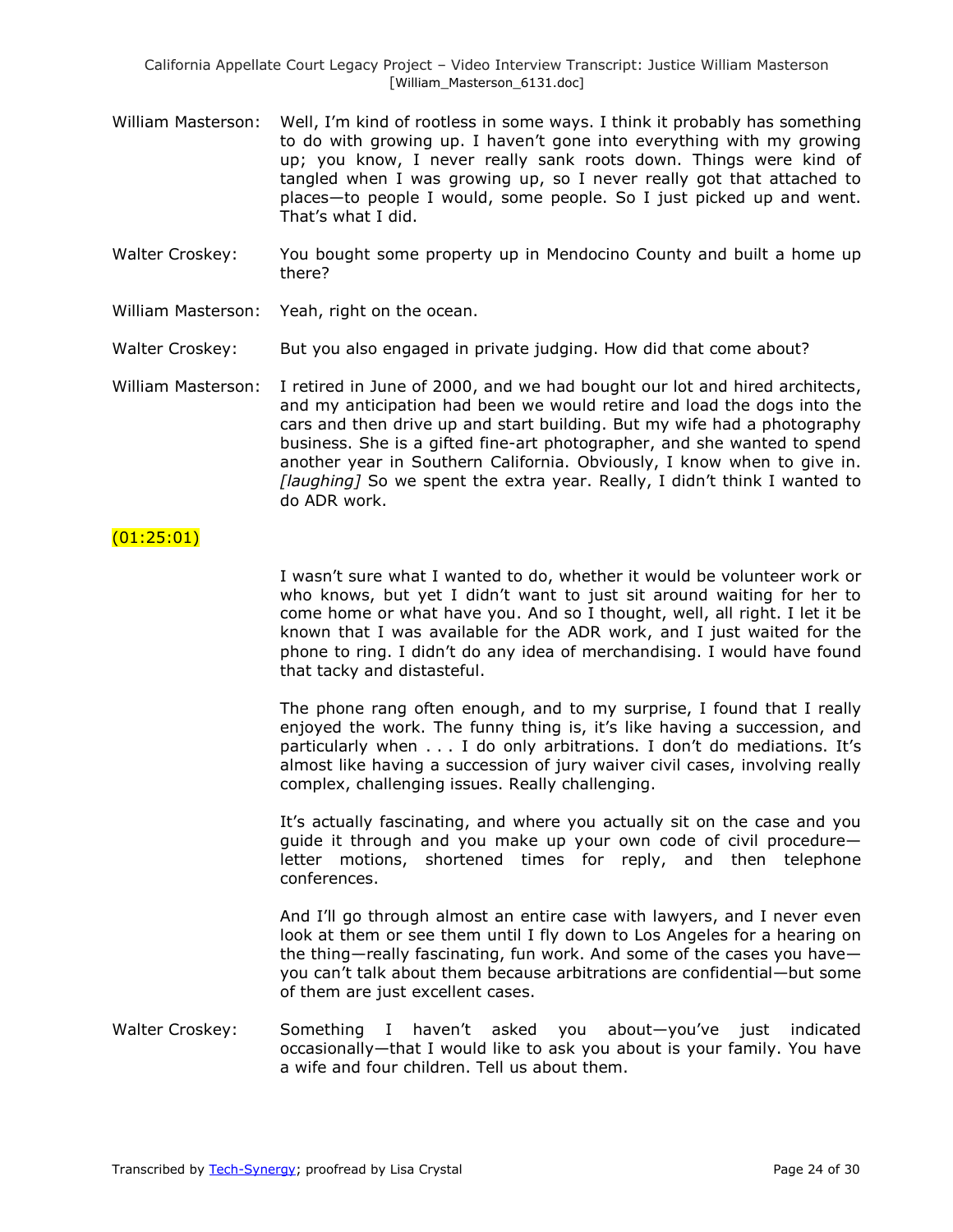- William Masterson: Well, I'm kind of rootless in some ways. I think it probably has something to do with growing up. I haven't gone into everything with my growing up; you know, I never really sank roots down. Things were kind of tangled when I was growing up, so I never really got that attached to places—to people I would, some people. So I just picked up and went. That's what I did.
- Walter Croskey: You bought some property up in Mendocino County and built a home up there?
- William Masterson: Yeah, right on the ocean.
- Walter Croskey: But you also engaged in private judging. How did that come about?
- William Masterson: I retired in June of 2000, and we had bought our lot and hired architects, and my anticipation had been we would retire and load the dogs into the cars and then drive up and start building. But my wife had a photography business. She is a gifted fine-art photographer, and she wanted to spend another year in Southern California. Obviously, I know when to give in. *[laughing]* So we spent the extra year. Really, I didn't think I wanted to do ADR work.

### (01:25:01)

I wasn't sure what I wanted to do, whether it would be volunteer work or who knows, but yet I didn't want to just sit around waiting for her to come home or what have you. And so I thought, well, all right. I let it be known that I was available for the ADR work, and I just waited for the phone to ring. I didn't do any idea of merchandising. I would have found that tacky and distasteful.

The phone rang often enough, and to my surprise, I found that I really enjoyed the work. The funny thing is, it's like having a succession, and particularly when . . . I do only arbitrations. I don't do mediations. It's almost like having a succession of jury waiver civil cases, involving really complex, challenging issues. Really challenging.

It's actually fascinating, and where you actually sit on the case and you guide it through and you make up your own code of civil procedure letter motions, shortened times for reply, and then telephone conferences.

And I'll go through almost an entire case with lawyers, and I never even look at them or see them until I fly down to Los Angeles for a hearing on the thing—really fascinating, fun work. And some of the cases you have you can't talk about them because arbitrations are confidential—but some of them are just excellent cases.

Walter Croskey: Something I haven't asked you about—you've just indicated occasionally—that I would like to ask you about is your family. You have a wife and four children. Tell us about them.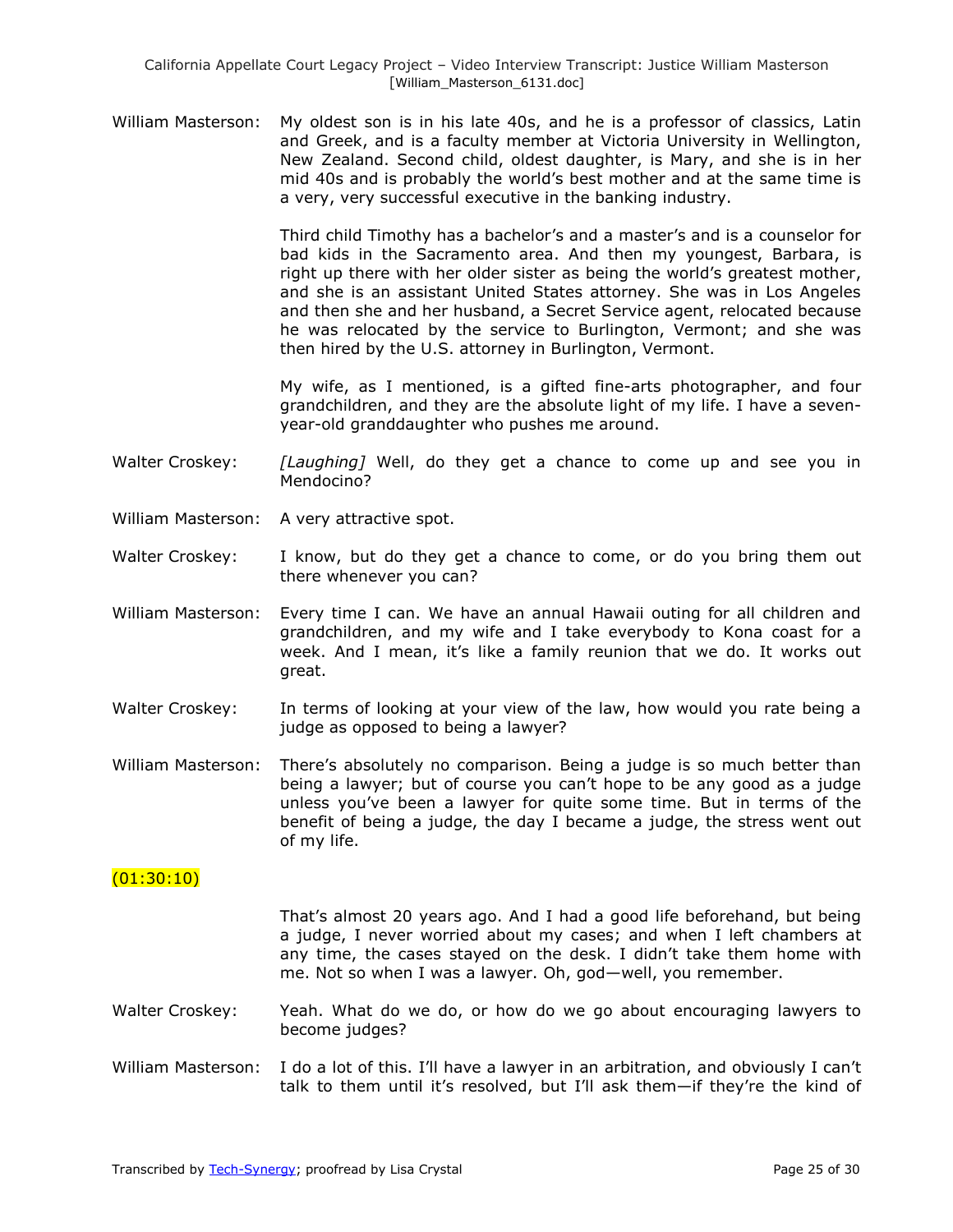William Masterson: My oldest son is in his late 40s, and he is a professor of classics, Latin and Greek, and is a faculty member at Victoria University in Wellington, New Zealand. Second child, oldest daughter, is Mary, and she is in her mid 40s and is probably the world's best mother and at the same time is a very, very successful executive in the banking industry.

> Third child Timothy has a bachelor's and a master's and is a counselor for bad kids in the Sacramento area. And then my youngest, Barbara, is right up there with her older sister as being the world's greatest mother, and she is an assistant United States attorney. She was in Los Angeles and then she and her husband, a Secret Service agent, relocated because he was relocated by the service to Burlington, Vermont; and she was then hired by the U.S. attorney in Burlington, Vermont.

> My wife, as I mentioned, is a gifted fine-arts photographer, and four grandchildren, and they are the absolute light of my life. I have a sevenyear-old granddaughter who pushes me around.

- Walter Croskey: *[Laughing]* Well, do they get a chance to come up and see you in Mendocino?
- William Masterson: A very attractive spot.
- Walter Croskey: I know, but do they get a chance to come, or do you bring them out there whenever you can?
- William Masterson: Every time I can. We have an annual Hawaii outing for all children and grandchildren, and my wife and I take everybody to Kona coast for a week. And I mean, it's like a family reunion that we do. It works out great.
- Walter Croskey: In terms of looking at your view of the law, how would you rate being a judge as opposed to being a lawyer?
- William Masterson: There's absolutely no comparison. Being a judge is so much better than being a lawyer; but of course you can't hope to be any good as a judge unless you've been a lawyer for quite some time. But in terms of the benefit of being a judge, the day I became a judge, the stress went out of my life.

### (01:30:10)

That's almost 20 years ago. And I had a good life beforehand, but being a judge, I never worried about my cases; and when I left chambers at any time, the cases stayed on the desk. I didn't take them home with me. Not so when I was a lawyer. Oh, god—well, you remember.

- Walter Croskey: Yeah. What do we do, or how do we go about encouraging lawyers to become judges?
- William Masterson: I do a lot of this. I'll have a lawyer in an arbitration, and obviously I can't talk to them until it's resolved, but I'll ask them—if they're the kind of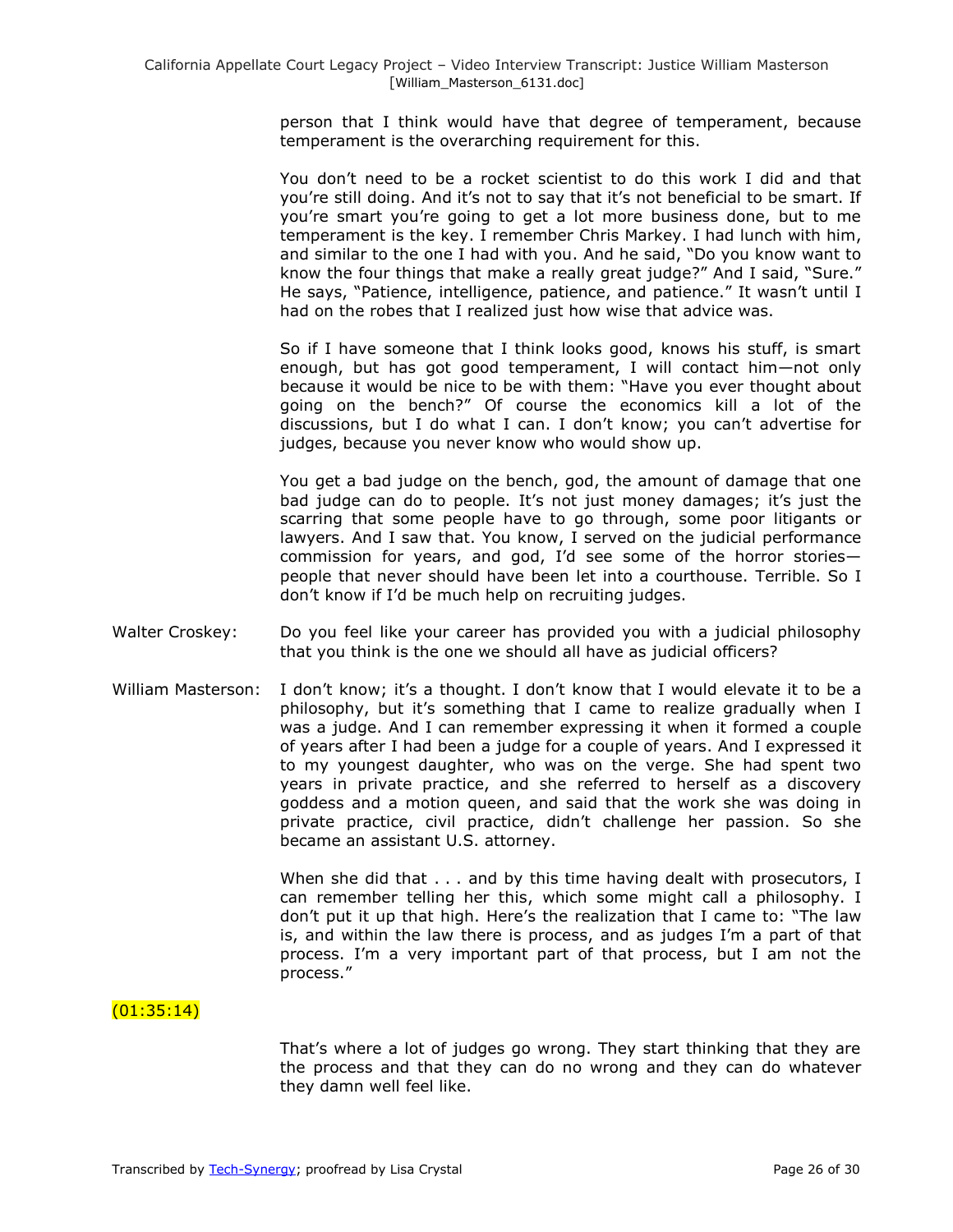person that I think would have that degree of temperament, because temperament is the overarching requirement for this.

You don't need to be a rocket scientist to do this work I did and that you're still doing. And it's not to say that it's not beneficial to be smart. If you're smart you're going to get a lot more business done, but to me temperament is the key. I remember Chris Markey. I had lunch with him, and similar to the one I had with you. And he said, "Do you know want to know the four things that make a really great judge?" And I said, "Sure." He says, "Patience, intelligence, patience, and patience." It wasn't until I had on the robes that I realized just how wise that advice was.

So if I have someone that I think looks good, knows his stuff, is smart enough, but has got good temperament, I will contact him—not only because it would be nice to be with them: "Have you ever thought about going on the bench?" Of course the economics kill a lot of the discussions, but I do what I can. I don't know; you can't advertise for judges, because you never know who would show up.

You get a bad judge on the bench, god, the amount of damage that one bad judge can do to people. It's not just money damages; it's just the scarring that some people have to go through, some poor litigants or lawyers. And I saw that. You know, I served on the judicial performance commission for years, and god, I'd see some of the horror stories people that never should have been let into a courthouse. Terrible. So I don't know if I'd be much help on recruiting judges.

- Walter Croskey: Do you feel like your career has provided you with a judicial philosophy that you think is the one we should all have as judicial officers?
- William Masterson: I don't know; it's a thought. I don't know that I would elevate it to be a philosophy, but it's something that I came to realize gradually when I was a judge. And I can remember expressing it when it formed a couple of years after I had been a judge for a couple of years. And I expressed it to my youngest daughter, who was on the verge. She had spent two years in private practice, and she referred to herself as a discovery goddess and a motion queen, and said that the work she was doing in private practice, civil practice, didn't challenge her passion. So she became an assistant U.S. attorney.

When she did that . . . and by this time having dealt with prosecutors, I can remember telling her this, which some might call a philosophy. I don't put it up that high. Here's the realization that I came to: "The law is, and within the law there is process, and as judges I'm a part of that process. I'm a very important part of that process, but I am not the process."

# $(01:35:14)$

That's where a lot of judges go wrong. They start thinking that they are the process and that they can do no wrong and they can do whatever they damn well feel like.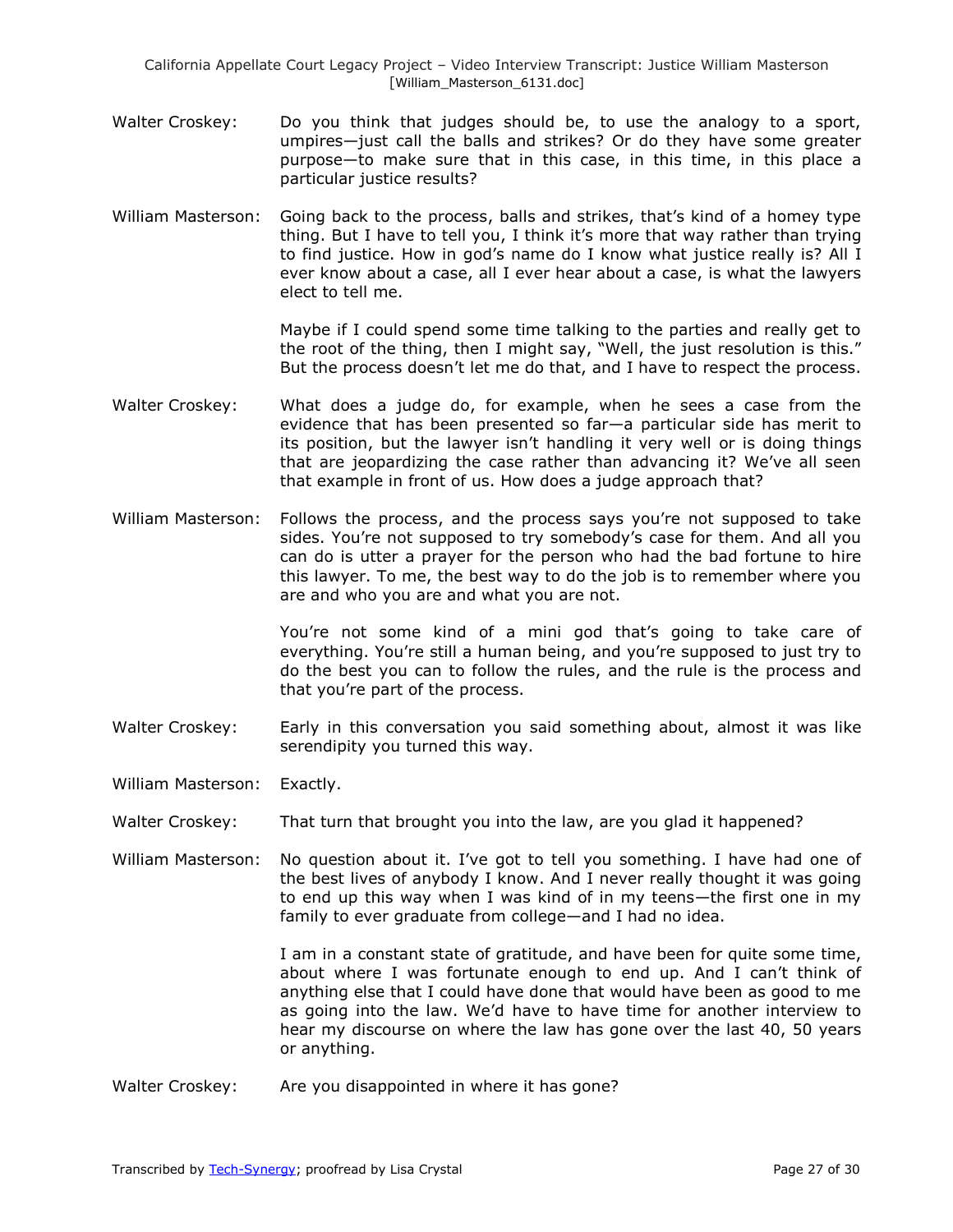- Walter Croskey: Do you think that judges should be, to use the analogy to a sport, umpires—just call the balls and strikes? Or do they have some greater purpose—to make sure that in this case, in this time, in this place a particular justice results?
- William Masterson: Going back to the process, balls and strikes, that's kind of a homey type thing. But I have to tell you, I think it's more that way rather than trying to find justice. How in god's name do I know what justice really is? All I ever know about a case, all I ever hear about a case, is what the lawyers elect to tell me.

Maybe if I could spend some time talking to the parties and really get to the root of the thing, then I might say, "Well, the just resolution is this." But the process doesn't let me do that, and I have to respect the process.

- Walter Croskey: What does a judge do, for example, when he sees a case from the evidence that has been presented so far—a particular side has merit to its position, but the lawyer isn't handling it very well or is doing things that are jeopardizing the case rather than advancing it? We've all seen that example in front of us. How does a judge approach that?
- William Masterson: Follows the process, and the process says you're not supposed to take sides. You're not supposed to try somebody's case for them. And all you can do is utter a prayer for the person who had the bad fortune to hire this lawyer. To me, the best way to do the job is to remember where you are and who you are and what you are not.

You're not some kind of a mini god that's going to take care of everything. You're still a human being, and you're supposed to just try to do the best you can to follow the rules, and the rule is the process and that you're part of the process.

Walter Croskey: Early in this conversation you said something about, almost it was like serendipity you turned this way.

William Masterson: Exactly.

Walter Croskey: That turn that brought you into the law, are you glad it happened?

William Masterson: No question about it. I've got to tell you something. I have had one of the best lives of anybody I know. And I never really thought it was going to end up this way when I was kind of in my teens—the first one in my family to ever graduate from college—and I had no idea.

> I am in a constant state of gratitude, and have been for quite some time, about where I was fortunate enough to end up. And I can't think of anything else that I could have done that would have been as good to me as going into the law. We'd have to have time for another interview to hear my discourse on where the law has gone over the last 40, 50 years or anything.

Walter Croskey: Are you disappointed in where it has gone?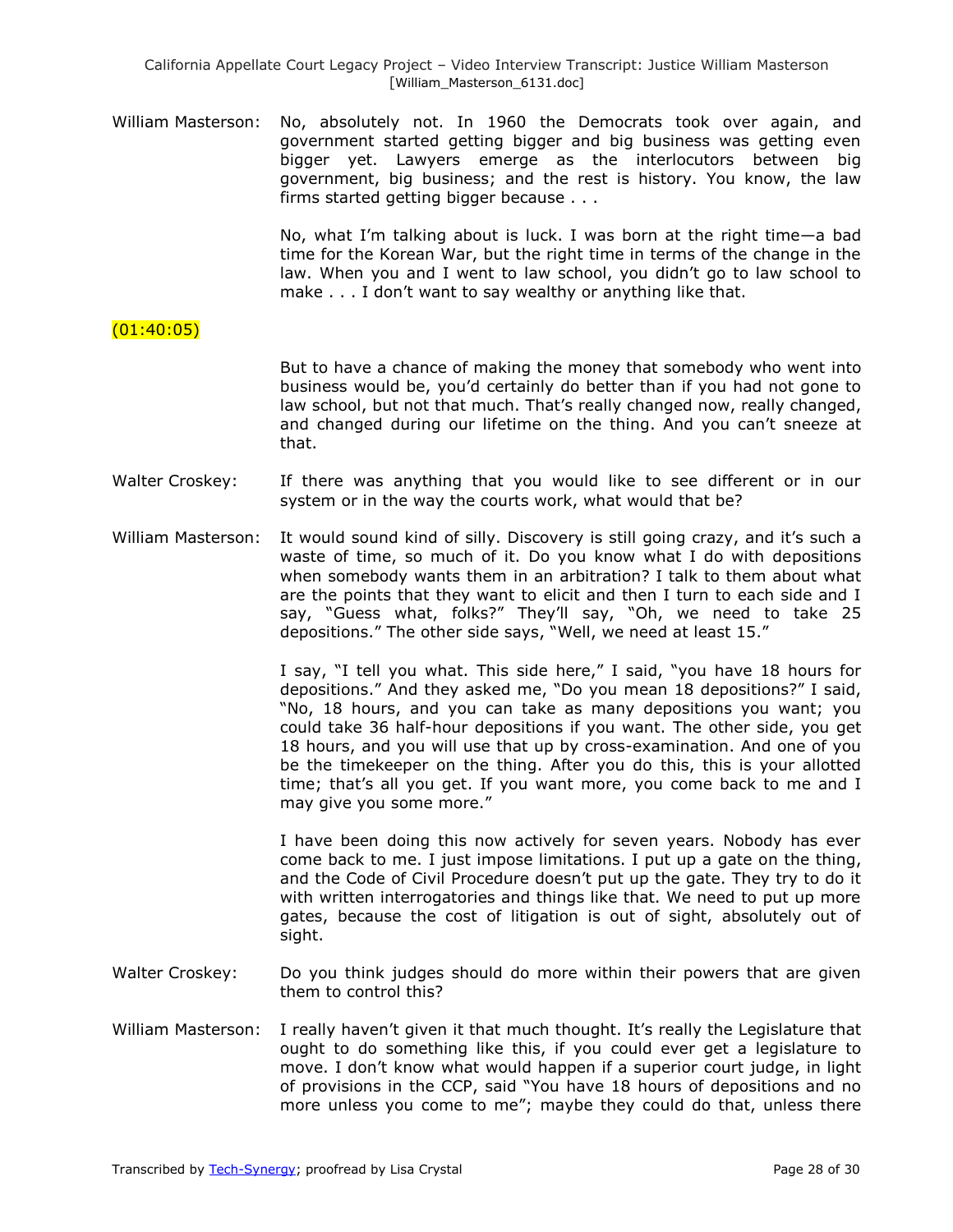William Masterson: No, absolutely not. In 1960 the Democrats took over again, and government started getting bigger and big business was getting even bigger yet. Lawyers emerge as the interlocutors between big government, big business; and the rest is history. You know, the law firms started getting bigger because . . .

> No, what I'm talking about is luck. I was born at the right time—a bad time for the Korean War, but the right time in terms of the change in the law. When you and I went to law school, you didn't go to law school to make . . . I don't want to say wealthy or anything like that.

# $(01:40:05)$

But to have a chance of making the money that somebody who went into business would be, you'd certainly do better than if you had not gone to law school, but not that much. That's really changed now, really changed, and changed during our lifetime on the thing. And you can't sneeze at that.

- Walter Croskey: If there was anything that you would like to see different or in our system or in the way the courts work, what would that be?
- William Masterson: It would sound kind of silly. Discovery is still going crazy, and it's such a waste of time, so much of it. Do you know what I do with depositions when somebody wants them in an arbitration? I talk to them about what are the points that they want to elicit and then I turn to each side and I say, "Guess what, folks?" They'll say, "Oh, we need to take 25 depositions." The other side says, "Well, we need at least 15."

I say, "I tell you what. This side here," I said, "you have 18 hours for depositions." And they asked me, "Do you mean 18 depositions?" I said, "No, 18 hours, and you can take as many depositions you want; you could take 36 half-hour depositions if you want. The other side, you get 18 hours, and you will use that up by cross-examination. And one of you be the timekeeper on the thing. After you do this, this is your allotted time; that's all you get. If you want more, you come back to me and I may give you some more."

I have been doing this now actively for seven years. Nobody has ever come back to me. I just impose limitations. I put up a gate on the thing, and the Code of Civil Procedure doesn't put up the gate. They try to do it with written interrogatories and things like that. We need to put up more gates, because the cost of litigation is out of sight, absolutely out of sight.

- Walter Croskey: Do you think judges should do more within their powers that are given them to control this?
- William Masterson: I really haven't given it that much thought. It's really the Legislature that ought to do something like this, if you could ever get a legislature to move. I don't know what would happen if a superior court judge, in light of provisions in the CCP, said "You have 18 hours of depositions and no more unless you come to me"; maybe they could do that, unless there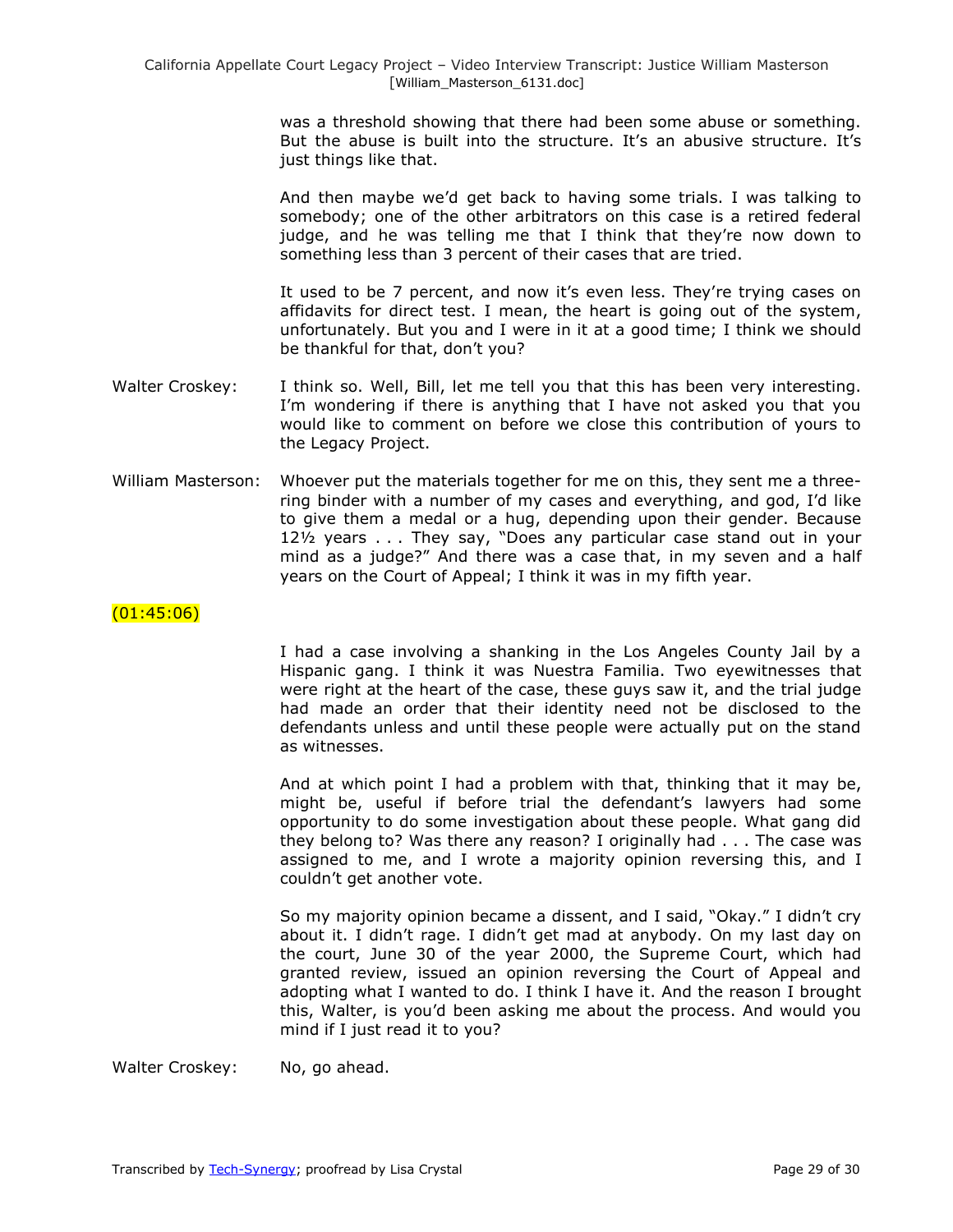was a threshold showing that there had been some abuse or something. But the abuse is built into the structure. It's an abusive structure. It's just things like that.

And then maybe we'd get back to having some trials. I was talking to somebody; one of the other arbitrators on this case is a retired federal judge, and he was telling me that I think that they're now down to something less than 3 percent of their cases that are tried.

It used to be 7 percent, and now it's even less. They're trying cases on affidavits for direct test. I mean, the heart is going out of the system, unfortunately. But you and I were in it at a good time; I think we should be thankful for that, don't you?

- Walter Croskey: I think so. Well, Bill, let me tell you that this has been very interesting. I'm wondering if there is anything that I have not asked you that you would like to comment on before we close this contribution of yours to the Legacy Project.
- William Masterson: Whoever put the materials together for me on this, they sent me a threering binder with a number of my cases and everything, and god, I'd like to give them a medal or a hug, depending upon their gender. Because  $12\frac{1}{2}$  years . . . They say, "Does any particular case stand out in your mind as a judge?" And there was a case that, in my seven and a half years on the Court of Appeal; I think it was in my fifth year.

#### $(01:45:06)$

I had a case involving a shanking in the Los Angeles County Jail by a Hispanic gang. I think it was Nuestra Familia. Two eyewitnesses that were right at the heart of the case, these guys saw it, and the trial judge had made an order that their identity need not be disclosed to the defendants unless and until these people were actually put on the stand as witnesses.

And at which point I had a problem with that, thinking that it may be, might be, useful if before trial the defendant's lawyers had some opportunity to do some investigation about these people. What gang did they belong to? Was there any reason? I originally had . . . The case was assigned to me, and I wrote a majority opinion reversing this, and I couldn't get another vote.

So my majority opinion became a dissent, and I said, "Okay." I didn't cry about it. I didn't rage. I didn't get mad at anybody. On my last day on the court, June 30 of the year 2000, the Supreme Court, which had granted review, issued an opinion reversing the Court of Appeal and adopting what I wanted to do. I think I have it. And the reason I brought this, Walter, is you'd been asking me about the process. And would you mind if I just read it to you?

Walter Croskey: No, go ahead.